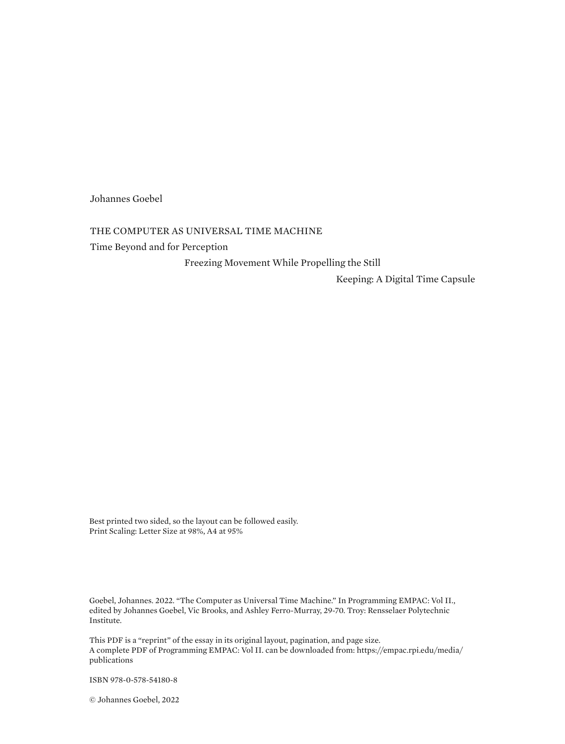Johannes Goebel

## THE COMPUTER AS UNIVERSAL TIME MACHINE

Time Beyond and for Perception

Freezing Movement While Propelling the Still

Keeping: A Digital Time Capsule

Best printed two sided, so the layout can be followed easily. Print Scaling: Letter Size at 98%, A4 at 95%

Goebel, Johannes. 2022. "The Computer as Universal Time Machine." In Programming EMPAC: Vol II., edited by Johannes Goebel, Vic Brooks, and Ashley Ferro-Murray, 29-70. Troy: Rensselaer Polytechnic Institute.

This PDF is a "reprint" of the essay in its original layout, pagination, and page size. A complete PDF of Programming EMPAC: Vol II. can be downloaded from: [https://empac.rpi.edu/media/](https://empac.rpi.edu/media/publications) [publications](https://empac.rpi.edu/media/publications)

ISBN 978-0-578-54180-8

© Johannes Goebel, 2022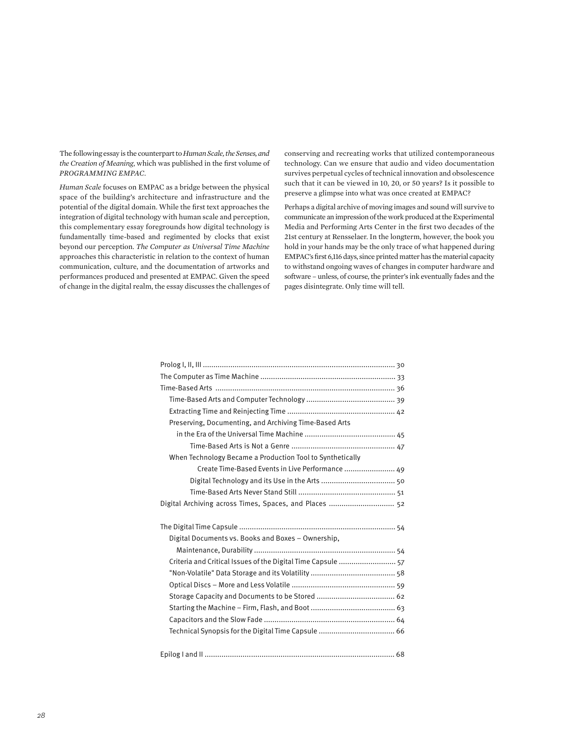The following essay is the counterpart to *Human Scale, the Senses, and the Creation of Meaning*, which was published in the first volume of *PROGRAMMING EMPAC*.

*Human Scale* focuses on EMPAC as a bridge between the physical space of the building's architecture and infrastructure and the potential of the digital domain. While the first text approaches the integration of digital technology with human scale and perception, this complementary essay foregrounds how digital technology is fundamentally time-based and regimented by clocks that exist beyond our perception. *The Computer as Universal Time Machine* approaches this characteristic in relation to the context of human communication, culture, and the documentation of artworks and performances produced and presented at EMPAC. Given the speed of change in the digital realm, the essay discusses the challenges of conserving and recreating works that utilized contemporaneous technology. Can we ensure that audio and video documentation survives perpetual cycles of technical innovation and obsolescence such that it can be viewed in 10, 20, or 50 years? Is it possible to preserve a glimpse into what was once created at EMPAC?

Perhaps a digital archive of moving images and sound will survive to communicate an impression of the work produced at the Experimental Media and Performing Arts Center in the first two decades of the 21st century at Rensselaer. In the longterm, however, the book you hold in your hands may be the only trace of what happened during EMPAC's first 6,116 days, since printed matter has the material capacity to withstand ongoing waves of changes in computer hardware and software – unless, of course, the printer's ink eventually fades and the pages disintegrate. Only time will tell.

| Preserving, Documenting, and Archiving Time-Based Arts       |
|--------------------------------------------------------------|
|                                                              |
|                                                              |
| When Technology Became a Production Tool to Synthetically    |
| Create Time-Based Events in Live Performance  49             |
|                                                              |
|                                                              |
| Digital Archiving across Times, Spaces, and Places  52       |
|                                                              |
|                                                              |
|                                                              |
| Digital Documents vs. Books and Boxes - Ownership,           |
|                                                              |
| Criteria and Critical Issues of the Digital Time Capsule  57 |
|                                                              |
|                                                              |
|                                                              |
|                                                              |
|                                                              |
|                                                              |
|                                                              |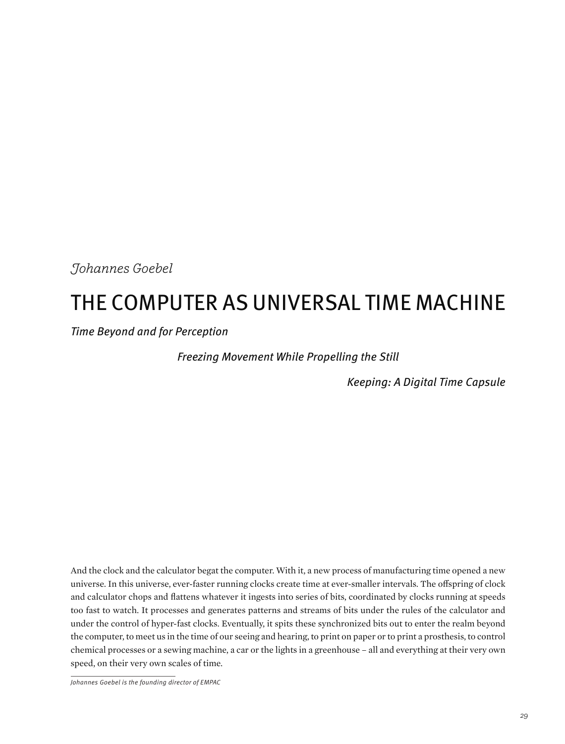*Johannes Goebel* 

# THE COMPUTER AS UNIVERSAL TIME MACHINE

Time Beyond and for Perception

Freezing Movement While Propelling the Still

Keeping: A Digital Time Capsule

And the clock and the calculator begat the computer. With it, a new process of manufacturing time opened a new universe. In this universe, ever-faster running clocks create time at ever-smaller intervals. The offspring of clock and calculator chops and flattens whatever it ingests into series of bits, coordinated by clocks running at speeds too fast to watch. It processes and generates patterns and streams of bits under the rules of the calculator and under the control of hyper-fast clocks. Eventually, it spits these synchronized bits out to enter the realm beyond the computer, to meet us in the time of our seeing and hearing, to print on paper or to print a prosthesis, to control chemical processes or a sewing machine, a car or the lights in a greenhouse – all and everything at their very own speed, on their very own scales of time.

Johannes Goebel is the founding director of EMPAC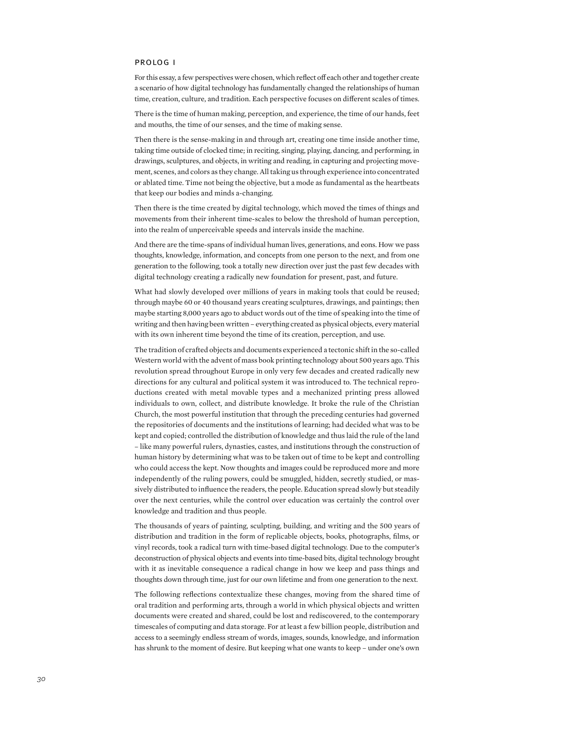#### prolog i

For this essay, a few perspectives were chosen, which reflect off each other and together create a scenario of how digital technology has fundamentally changed the relationships of human time, creation, culture, and tradition. Each perspective focuses on different scales of times.

There is the time of human making, perception, and experience, the time of our hands, feet and mouths, the time of our senses, and the time of making sense.

Then there is the sense-making in and through art, creating one time inside another time, taking time outside of clocked time; in reciting, singing, playing, dancing, and performing, in drawings, sculptures, and objects, in writing and reading, in capturing and projecting movement, scenes, and colors as they change. All taking us through experience into concentrated or ablated time. Time not being the objective, but a mode as fundamental as the heartbeats that keep our bodies and minds a-changing.

Then there is the time created by digital technology, which moved the times of things and movements from their inherent time-scales to below the threshold of human perception, into the realm of unperceivable speeds and intervals inside the machine.

And there are the time-spans of individual human lives, generations, and eons. How we pass thoughts, knowledge, information, and concepts from one person to the next, and from one generation to the following, took a totally new direction over just the past few decades with digital technology creating a radically new foundation for present, past, and future.

What had slowly developed over millions of years in making tools that could be reused; through maybe 60 or 40 thousand years creating sculptures, drawings, and paintings; then maybe starting 8,000 years ago to abduct words out of the time of speaking into the time of writing and then having been written – everything created as physical objects, every material with its own inherent time beyond the time of its creation, perception, and use.

The tradition of crafted objects and documents experienced a tectonic shift in the so-called Western world with the advent of mass book printing technology about 500 years ago. This revolution spread throughout Europe in only very few decades and created radically new directions for any cultural and political system it was introduced to. The technical reproductions created with metal movable types and a mechanized printing press allowed individuals to own, collect, and distribute knowledge. It broke the rule of the Christian Church, the most powerful institution that through the preceding centuries had governed the repositories of documents and the institutions of learning; had decided what was to be kept and copied; controlled the distribution of knowledge and thus laid the rule of the land – like many powerful rulers, dynasties, castes, and institutions through the construction of human history by determining what was to be taken out of time to be kept and controlling who could access the kept. Now thoughts and images could be reproduced more and more independently of the ruling powers, could be smuggled, hidden, secretly studied, or massively distributed to influence the readers, the people. Education spread slowly but steadily over the next centuries, while the control over education was certainly the control over knowledge and tradition and thus people.

The thousands of years of painting, sculpting, building, and writing and the 500 years of distribution and tradition in the form of replicable objects, books, photographs, films, or vinyl records, took a radical turn with time-based digital technology. Due to the computer's deconstruction of physical objects and events into time-based bits, digital technology brought with it as inevitable consequence a radical change in how we keep and pass things and thoughts down through time, just for our own lifetime and from one generation to the next.

The following reflections contextualize these changes, moving from the shared time of oral tradition and performing arts, through a world in which physical objects and written documents were created and shared, could be lost and rediscovered, to the contemporary timescales of computing and data storage. For at least a few billion people, distribution and access to a seemingly endless stream of words, images, sounds, knowledge, and information has shrunk to the moment of desire. But keeping what one wants to keep – under one's own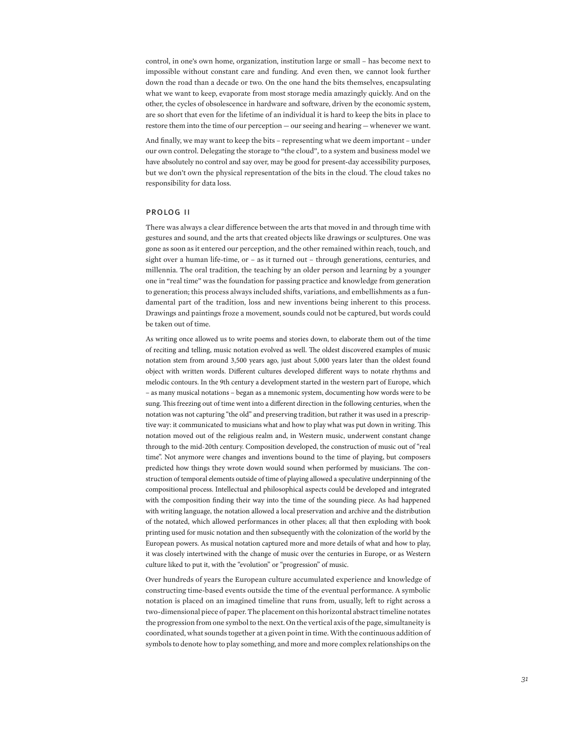control, in one's own home, organization, institution large or small – has become next to impossible without constant care and funding. And even then, we cannot look further down the road than a decade or two. On the one hand the bits themselves, encapsulating what we want to keep, evaporate from most storage media amazingly quickly. And on the other, the cycles of obsolescence in hardware and software, driven by the economic system, are so short that even for the lifetime of an individual it is hard to keep the bits in place to restore them into the time of our perception — our seeing and hearing — whenever we want.

And finally, we may want to keep the bits – representing what we deem important – under our own control. Delegating the storage to "the cloud", to a system and business model we have absolutely no control and say over, may be good for present-day accessibility purposes, but we don't own the physical representation of the bits in the cloud. The cloud takes no responsibility for data loss.

#### prolog ii

There was always a clear difference between the arts that moved in and through time with gestures and sound, and the arts that created objects like drawings or sculptures. One was gone as soon as it entered our perception, and the other remained within reach, touch, and sight over a human life-time, or – as it turned out – through generations, centuries, and millennia. The oral tradition, the teaching by an older person and learning by a younger one in "real time" was the foundation for passing practice and knowledge from generation to generation; this process always included shifts, variations, and embellishments as a fundamental part of the tradition, loss and new inventions being inherent to this process. Drawings and paintings froze a movement, sounds could not be captured, but words could be taken out of time.

As writing once allowed us to write poems and stories down, to elaborate them out of the time of reciting and telling, music notation evolved as well. The oldest discovered examples of music notation stem from around 3,500 years ago, just about 5,000 years later than the oldest found object with written words. Different cultures developed different ways to notate rhythms and melodic contours. In the 9th century a development started in the western part of Europe, which – as many musical notations – began as a mnemonic system, documenting how words were to be sung. This freezing out of time went into a different direction in the following centuries, when the notation was not capturing "the old" and preserving tradition, but rather it was used in a prescriptive way: it communicated to musicians what and how to play what was put down in writing. This notation moved out of the religious realm and, in Western music, underwent constant change through to the mid-20th century. Composition developed, the construction of music out of "real time". Not anymore were changes and inventions bound to the time of playing, but composers predicted how things they wrote down would sound when performed by musicians. The construction of temporal elements outside of time of playing allowed a speculative underpinning of the compositional process. Intellectual and philosophical aspects could be developed and integrated with the composition finding their way into the time of the sounding piece. As had happened with writing language, the notation allowed a local preservation and archive and the distribution of the notated, which allowed performances in other places; all that then exploding with book printing used for music notation and then subsequently with the colonization of the world by the European powers. As musical notation captured more and more details of what and how to play, it was closely intertwined with the change of music over the centuries in Europe, or as Western culture liked to put it, with the "evolution" or "progression" of music.

Over hundreds of years the European culture accumulated experience and knowledge of constructing time-based events outside the time of the eventual performance. A symbolic notation is placed on an imagined timeline that runs from, usually, left to right across a two-dimensional piece of paper. The placement on this horizontal abstract timeline notates the progression from one symbol to the next. On the vertical axis of the page, simultaneity is coordinated, what sounds together at a given point in time. With the continuous addition of symbols to denote how to play something, and more and more complex relationships on the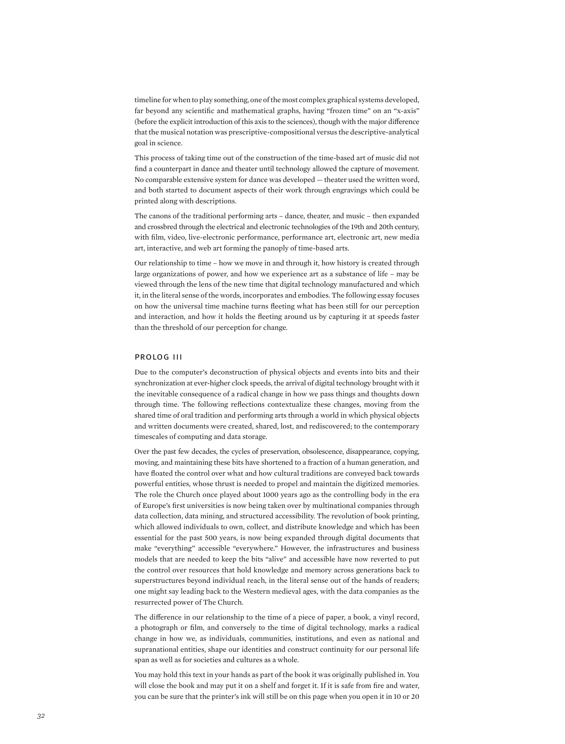timeline for when to play something, one of the most complex graphical systems developed, far beyond any scientific and mathematical graphs, having "frozen time" on an "x-axis" (before the explicit introduction of this axis to the sciences), though with the major difference that the musical notation was prescriptive-compositional versus the descriptive-analytical goal in science.

This process of taking time out of the construction of the time-based art of music did not find a counterpart in dance and theater until technology allowed the capture of movement. No comparable extensive system for dance was developed — theater used the written word, and both started to document aspects of their work through engravings which could be printed along with descriptions.

The canons of the traditional performing arts – dance, theater, and music – then expanded and crossbred through the electrical and electronic technologies of the 19th and 20th century, with film, video, live-electronic performance, performance art, electronic art, new media art, interactive, and web art forming the panoply of time-based arts.

Our relationship to time – how we move in and through it, how history is created through large organizations of power, and how we experience art as a substance of life – may be viewed through the lens of the new time that digital technology manufactured and which it, in the literal sense of the words, incorporates and embodies. The following essay focuses on how the universal time machine turns fleeting what has been still for our perception and interaction, and how it holds the fleeting around us by capturing it at speeds faster than the threshold of our perception for change.

#### prolog iii

Due to the computer's deconstruction of physical objects and events into bits and their synchronization at ever-higher clock speeds, the arrival of digital technology brought with it the inevitable consequence of a radical change in how we pass things and thoughts down through time. The following reflections contextualize these changes, moving from the shared time of oral tradition and performing arts through a world in which physical objects and written documents were created, shared, lost, and rediscovered; to the contemporary timescales of computing and data storage.

Over the past few decades, the cycles of preservation, obsolescence, disappearance, copying, moving, and maintaining these bits have shortened to a fraction of a human generation, and have floated the control over what and how cultural traditions are conveyed back towards powerful entities, whose thrust is needed to propel and maintain the digitized memories. The role the Church once played about 1000 years ago as the controlling body in the era of Europe's first universities is now being taken over by multinational companies through data collection, data mining, and structured accessibility. The revolution of book printing, which allowed individuals to own, collect, and distribute knowledge and which has been essential for the past 500 years, is now being expanded through digital documents that make "everything" accessible "everywhere." However, the infrastructures and business models that are needed to keep the bits "alive" and accessible have now reverted to put the control over resources that hold knowledge and memory across generations back to superstructures beyond individual reach, in the literal sense out of the hands of readers; one might say leading back to the Western medieval ages, with the data companies as the resurrected power of The Church.

The difference in our relationship to the time of a piece of paper, a book, a vinyl record, a photograph or film, and conversely to the time of digital technology, marks a radical change in how we, as individuals, communities, institutions, and even as national and supranational entities, shape our identities and construct continuity for our personal life span as well as for societies and cultures as a whole.

You may hold this text in your hands as part of the book it was originally published in. You will close the book and may put it on a shelf and forget it. If it is safe from fire and water, you can be sure that the printer's ink will still be on this page when you open it in 10 or 20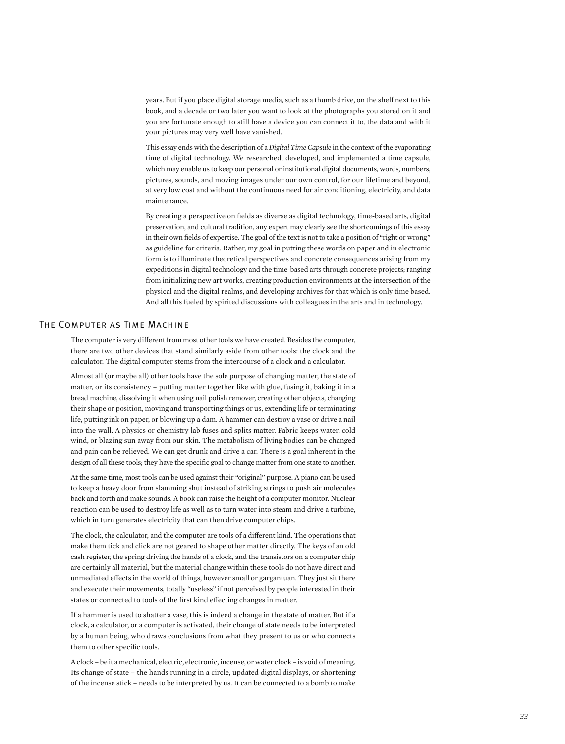years. But if you place digital storage media, such as a thumb drive, on the shelf next to this book, and a decade or two later you want to look at the photographs you stored on it and you are fortunate enough to still have a device you can connect it to, the data and with it your pictures may very well have vanished.

This essay ends with the description of a *Digital Time Capsule* in the context of the evaporating time of digital technology. We researched, developed, and implemented a time capsule, which may enable us to keep our personal or institutional digital documents, words, numbers, pictures, sounds, and moving images under our own control, for our lifetime and beyond, at very low cost and without the continuous need for air conditioning, electricity, and data maintenance.

By creating a perspective on fields as diverse as digital technology, time-based arts, digital preservation, and cultural tradition, any expert may clearly see the shortcomings of this essay in their own fields of expertise. The goal of the text is not to take a position of "right or wrong" as guideline for criteria. Rather, my goal in putting these words on paper and in electronic form is to illuminate theoretical perspectives and concrete consequences arising from my expeditions in digital technology and the time-based arts through concrete projects; ranging from initializing new art works, creating production environments at the intersection of the physical and the digital realms, and developing archives for that which is only time based. And all this fueled by spirited discussions with colleagues in the arts and in technology.

### The Computer as Time Machine

The computer is very different from most other tools we have created. Besides the computer, there are two other devices that stand similarly aside from other tools: the clock and the calculator. The digital computer stems from the intercourse of a clock and a calculator.

Almost all (or maybe all) other tools have the sole purpose of changing matter, the state of matter, or its consistency – putting matter together like with glue, fusing it, baking it in a bread machine, dissolving it when using nail polish remover, creating other objects, changing their shape or position, moving and transporting things or us, extending life or terminating life, putting ink on paper, or blowing up a dam. A hammer can destroy a vase or drive a nail into the wall. A physics or chemistry lab fuses and splits matter. Fabric keeps water, cold wind, or blazing sun away from our skin. The metabolism of living bodies can be changed and pain can be relieved. We can get drunk and drive a car. There is a goal inherent in the design of all these tools; they have the specific goal to change matter from one state to another.

At the same time, most tools can be used against their "original" purpose. A piano can be used to keep a heavy door from slamming shut instead of striking strings to push air molecules back and forth and make sounds. A book can raise the height of a computer monitor. Nuclear reaction can be used to destroy life as well as to turn water into steam and drive a turbine, which in turn generates electricity that can then drive computer chips.

The clock, the calculator, and the computer are tools of a different kind. The operations that make them tick and click are not geared to shape other matter directly. The keys of an old cash register, the spring driving the hands of a clock, and the transistors on a computer chip are certainly all material, but the material change within these tools do not have direct and unmediated effects in the world of things, however small or gargantuan. They just sit there and execute their movements, totally "useless" if not perceived by people interested in their states or connected to tools of the first kind effecting changes in matter.

If a hammer is used to shatter a vase, this is indeed a change in the state of matter. But if a clock, a calculator, or a computer is activated, their change of state needs to be interpreted by a human being, who draws conclusions from what they present to us or who connects them to other specific tools.

A clock – be it a mechanical, electric, electronic, incense, or water clock – is void of meaning. Its change of state – the hands running in a circle, updated digital displays, or shortening of the incense stick – needs to be interpreted by us. It can be connected to a bomb to make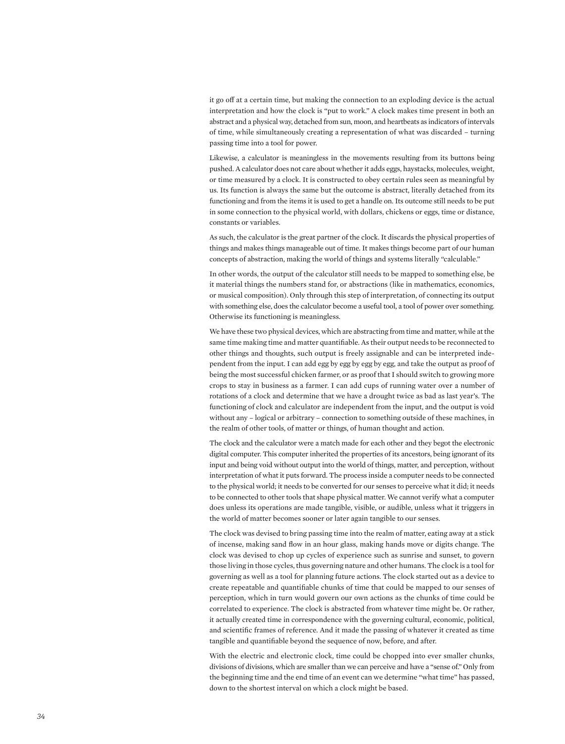it go off at a certain time, but making the connection to an exploding device is the actual interpretation and how the clock is "put to work." A clock makes time present in both an abstract and a physical way, detached from sun, moon, and heartbeats as indicators of intervals of time, while simultaneously creating a representation of what was discarded – turning passing time into a tool for power.

Likewise, a calculator is meaningless in the movements resulting from its buttons being pushed. A calculator does not care about whether it adds eggs, haystacks, molecules, weight, or time measured by a clock. It is constructed to obey certain rules seen as meaningful by us. Its function is always the same but the outcome is abstract, literally detached from its functioning and from the items it is used to get a handle on. Its outcome still needs to be put in some connection to the physical world, with dollars, chickens or eggs, time or distance, constants or variables.

As such, the calculator is the great partner of the clock. It discards the physical properties of things and makes things manageable out of time. It makes things become part of our human concepts of abstraction, making the world of things and systems literally "calculable."

In other words, the output of the calculator still needs to be mapped to something else, be it material things the numbers stand for, or abstractions (like in mathematics, economics, or musical composition). Only through this step of interpretation, of connecting its output with something else, does the calculator become a useful tool, a tool of power over something. Otherwise its functioning is meaningless.

We have these two physical devices, which are abstracting from time and matter, while at the same time making time and matter quantifiable. As their output needs to be reconnected to other things and thoughts, such output is freely assignable and can be interpreted independent from the input. I can add egg by egg by egg by egg, and take the output as proof of being the most successful chicken farmer, or as proof that I should switch to growing more crops to stay in business as a farmer. I can add cups of running water over a number of rotations of a clock and determine that we have a drought twice as bad as last year's. The functioning of clock and calculator are independent from the input, and the output is void without any – logical or arbitrary – connection to something outside of these machines, in the realm of other tools, of matter or things, of human thought and action.

The clock and the calculator were a match made for each other and they begot the electronic digital computer. This computer inherited the properties of its ancestors, being ignorant of its input and being void without output into the world of things, matter, and perception, without interpretation of what it puts forward. The process inside a computer needs to be connected to the physical world; it needs to be converted for our senses to perceive what it did; it needs to be connected to other tools that shape physical matter. We cannot verify what a computer does unless its operations are made tangible, visible, or audible, unless what it triggers in the world of matter becomes sooner or later again tangible to our senses.

The clock was devised to bring passing time into the realm of matter, eating away at a stick of incense, making sand flow in an hour glass, making hands move or digits change. The clock was devised to chop up cycles of experience such as sunrise and sunset, to govern those living in those cycles, thus governing nature and other humans. The clock is a tool for governing as well as a tool for planning future actions. The clock started out as a device to create repeatable and quantifiable chunks of time that could be mapped to our senses of perception, which in turn would govern our own actions as the chunks of time could be correlated to experience. The clock is abstracted from whatever time might be. Or rather, it actually created time in correspondence with the governing cultural, economic, political, and scientific frames of reference. And it made the passing of whatever it created as time tangible and quantifiable beyond the sequence of now, before, and after.

With the electric and electronic clock, time could be chopped into ever smaller chunks, divisions of divisions, which are smaller than we can perceive and have a "sense of." Only from the beginning time and the end time of an event can we determine "what time" has passed, down to the shortest interval on which a clock might be based.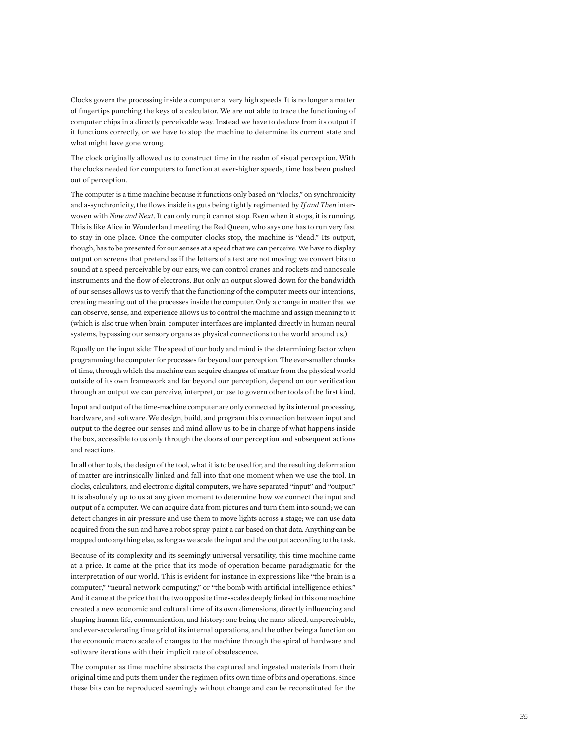Clocks govern the processing inside a computer at very high speeds. It is no longer a matter of fingertips punching the keys of a calculator. We are not able to trace the functioning of computer chips in a directly perceivable way. Instead we have to deduce from its output if it functions correctly, or we have to stop the machine to determine its current state and what might have gone wrong.

The clock originally allowed us to construct time in the realm of visual perception. With the clocks needed for computers to function at ever-higher speeds, time has been pushed out of perception.

The computer is a time machine because it functions only based on "clocks," on synchronicity and a-synchronicity, the flows inside its guts being tightly regimented by *If and Then* interwoven with *Now and Next*. It can only run; it cannot stop. Even when it stops, it is running. This is like Alice in Wonderland meeting the Red Queen, who says one has to run very fast to stay in one place. Once the computer clocks stop, the machine is "dead." Its output, though, has to be presented for our senses at a speed that we can perceive. We have to display output on screens that pretend as if the letters of a text are not moving; we convert bits to sound at a speed perceivable by our ears; we can control cranes and rockets and nanoscale instruments and the flow of electrons. But only an output slowed down for the bandwidth of our senses allows us to verify that the functioning of the computer meets our intentions, creating meaning out of the processes inside the computer. Only a change in matter that we can observe, sense, and experience allows us to control the machine and assign meaning to it (which is also true when brain-computer interfaces are implanted directly in human neural systems, bypassing our sensory organs as physical connections to the world around us.)

Equally on the input side: The speed of our body and mind is the determining factor when programming the computer for processes far beyond our perception. The ever-smaller chunks of time, through which the machine can acquire changes of matter from the physical world outside of its own framework and far beyond our perception, depend on our verification through an output we can perceive, interpret, or use to govern other tools of the first kind.

Input and output of the time-machine computer are only connected by its internal processing, hardware, and software. We design, build, and program this connection between input and output to the degree our senses and mind allow us to be in charge of what happens inside the box, accessible to us only through the doors of our perception and subsequent actions and reactions.

In all other tools, the design of the tool, what it is to be used for, and the resulting deformation of matter are intrinsically linked and fall into that one moment when we use the tool. In clocks, calculators, and electronic digital computers, we have separated "input" and "output." It is absolutely up to us at any given moment to determine how we connect the input and output of a computer. We can acquire data from pictures and turn them into sound; we can detect changes in air pressure and use them to move lights across a stage; we can use data acquired from the sun and have a robot spray-paint a car based on that data. Anything can be mapped onto anything else, as long as we scale the input and the output according to the task.

Because of its complexity and its seemingly universal versatility, this time machine came at a price. It came at the price that its mode of operation became paradigmatic for the interpretation of our world. This is evident for instance in expressions like "the brain is a computer," "neural network computing," or "the bomb with artificial intelligence ethics." And it came at the price that the two opposite time-scales deeply linked in this one machine created a new economic and cultural time of its own dimensions, directly influencing and shaping human life, communication, and history: one being the nano-sliced, unperceivable, and ever-accelerating time grid of its internal operations, and the other being a function on the economic macro scale of changes to the machine through the spiral of hardware and software iterations with their implicit rate of obsolescence.

The computer as time machine abstracts the captured and ingested materials from their original time and puts them under the regimen of its own time of bits and operations. Since these bits can be reproduced seemingly without change and can be reconstituted for the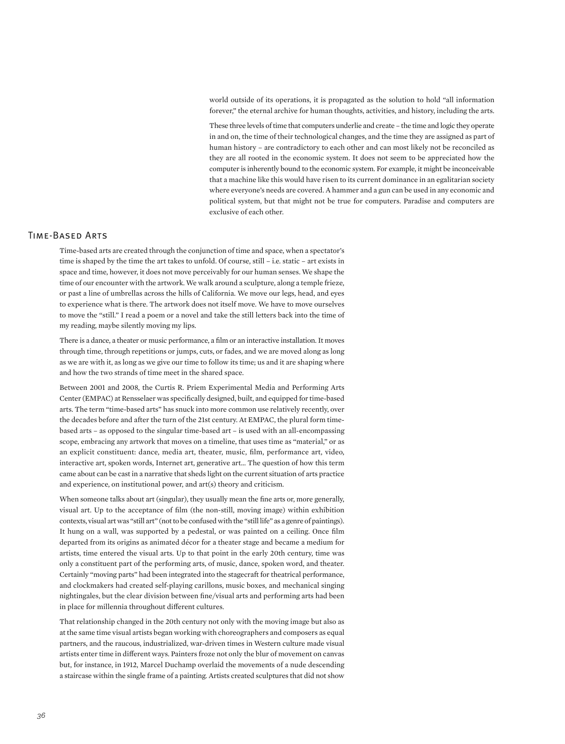world outside of its operations, it is propagated as the solution to hold "all information forever," the eternal archive for human thoughts, activities, and history, including the arts.

These three levels of time that computers underlie and create – the time and logic they operate in and on, the time of their technological changes, and the time they are assigned as part of human history – are contradictory to each other and can most likely not be reconciled as they are all rooted in the economic system. It does not seem to be appreciated how the computer is inherently bound to the economic system. For example, it might be inconceivable that a machine like this would have risen to its current dominance in an egalitarian society where everyone's needs are covered. A hammer and a gun can be used in any economic and political system, but that might not be true for computers. Paradise and computers are exclusive of each other.

### Time-Based Arts

Time-based arts are created through the conjunction of time and space, when a spectator's time is shaped by the time the art takes to unfold. Of course, still – i.e. static – art exists in space and time, however, it does not move perceivably for our human senses. We shape the time of our encounter with the artwork. We walk around a sculpture, along a temple frieze, or past a line of umbrellas across the hills of California. We move our legs, head, and eyes to experience what is there. The artwork does not itself move. We have to move ourselves to move the "still." I read a poem or a novel and take the still letters back into the time of my reading, maybe silently moving my lips.

There is a dance, a theater or music performance, a film or an interactive installation. It moves through time, through repetitions or jumps, cuts, or fades, and we are moved along as long as we are with it, as long as we give our time to follow its time; us and it are shaping where and how the two strands of time meet in the shared space.

Between 2001 and 2008, the Curtis R. Priem Experimental Media and Performing Arts Center (EMPAC) at Rensselaer was specifically designed, built, and equipped for time-based arts. The term "time-based arts" has snuck into more common use relatively recently, over the decades before and after the turn of the 21st century. At EMPAC, the plural form timebased arts – as opposed to the singular time-based art – is used with an all-encompassing scope, embracing any artwork that moves on a timeline, that uses time as "material," or as an explicit constituent: dance, media art, theater, music, film, performance art, video, interactive art, spoken words, Internet art, generative art… The question of how this term came about can be cast in a narrative that sheds light on the current situation of arts practice and experience, on institutional power, and art(s) theory and criticism.

When someone talks about art (singular), they usually mean the fine arts or, more generally, visual art. Up to the acceptance of film (the non-still, moving image) within exhibition contexts, visual art was "still art" (not to be confused with the "still life" as a genre of paintings). It hung on a wall, was supported by a pedestal, or was painted on a ceiling. Once film departed from its origins as animated décor for a theater stage and became a medium for artists, time entered the visual arts. Up to that point in the early 20th century, time was only a constituent part of the performing arts, of music, dance, spoken word, and theater. Certainly "moving parts" had been integrated into the stagecraft for theatrical performance, and clockmakers had created self-playing carillons, music boxes, and mechanical singing nightingales, but the clear division between fine/visual arts and performing arts had been in place for millennia throughout different cultures.

That relationship changed in the 20th century not only with the moving image but also as at the same time visual artists began working with choreographers and composers as equal partners, and the raucous, industrialized, war-driven times in Western culture made visual artists enter time in different ways. Painters froze not only the blur of movement on canvas but, for instance, in 1912, Marcel Duchamp overlaid the movements of a nude descending a staircase within the single frame of a painting. Artists created sculptures that did not show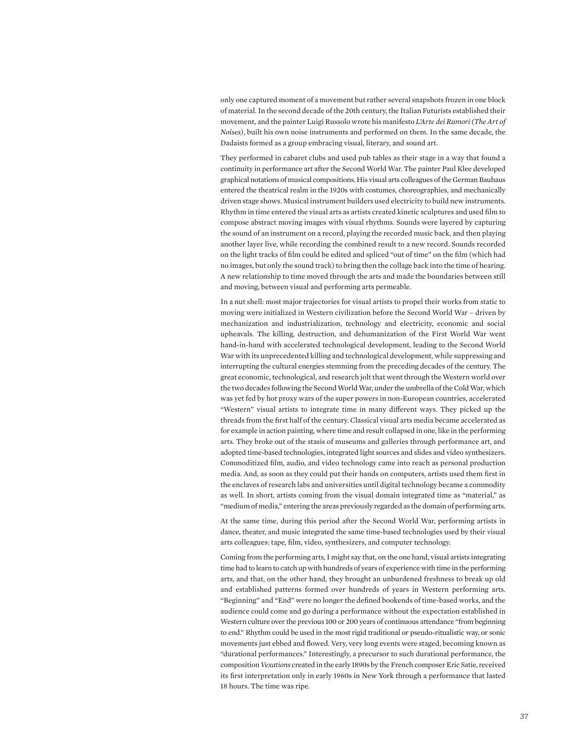only one captured moment of a movement but rather several snapshots frozen in one block of material. In the second decade of the 20th century, the Italian Futurists established their movement, and the painter Luigi Russolo wrote his manifesto *L'Arte dei Rumori (The Art of Noises)*, built his own noise instruments and performed on them. In the same decade, the Dadaists formed as a group embracing visual, literary, and sound art.

They performed in cabaret clubs and used pub tables as their stage in a way that found a continuity in performance art after the Second World War. The painter Paul Klee developed graphical notations of musical compositions. His visual arts colleagues of the German Bauhaus entered the theatrical realm in the 1920s with costumes, choreographies, and mechanically driven stage shows. Musical instrument builders used electricity to build new instruments. Rhythm in time entered the visual arts as artists created kinetic sculptures and used film to compose abstract moving images with visual rhythms. Sounds were layered by capturing the sound of an instrument on a record, playing the recorded music back, and then playing another layer live, while recording the combined result to a new record. Sounds recorded on the light tracks of film could be edited and spliced "out of time" on the film (which had no images, but only the sound track) to bring then the collage back into the time of hearing. A new relationship to time moved through the arts and made the boundaries between still and moving, between visual and performing arts permeable.

In a nut shell: most major trajectories for visual artists to propel their works from static to moving were initialized in Western civilization before the Second World War – driven by mechanization and industrialization, technology and electricity, economic and social upheavals. The killing, destruction, and dehumanization of the First World War went hand-in-hand with accelerated technological development, leading to the Second World War with its unprecedented killing and technological development, while suppressing and interrupting the cultural energies stemming from the preceding decades of the century. The great economic, technological, and research jolt that went through the Western world over the two decades following the Second World War, under the umbrella of the Cold War, which was yet fed by hot proxy wars of the super powers in non-European countries, accelerated "Western" visual artists to integrate time in many different ways. They picked up the threads from the first half of the century. Classical visual arts media became accelerated as for example in action painting, where time and result collapsed in one, like in the performing arts. They broke out of the stasis of museums and galleries through performance art, and adopted time-based technologies, integrated light sources and slides and video synthesizers. Commoditized film, audio, and video technology came into reach as personal production media. And, as soon as they could put their hands on computers, artists used them first in the enclaves of research labs and universities until digital technology became a commodity as well. In short, artists coming from the visual domain integrated time as "material," as "medium of media," entering the areas previously regarded as the domain of performing arts.

At the same time, during this period after the Second World War, performing artists in dance, theater, and music integrated the same time-based technologies used by their visual arts colleagues: tape, film, video, synthesizers, and computer technology.

Coming from the performing arts, I might say that, on the one hand, visual artists integrating time had to learn to catch up with hundreds of years of experience with time in the performing arts, and that, on the other hand, they brought an unburdened freshness to break up old and established patterns formed over hundreds of years in Western performing arts. "Beginning" and "End" were no longer the defined bookends of time-based works, and the audience could come and go during a performance without the expectation established in Western culture over the previous 100 or 200 years of continuous attendance "from beginning to end." Rhythm could be used in the most rigid traditional or pseudo-ritualistic way, or sonic movements just ebbed and flowed. Very, very long events were staged, becoming known as "durational performances." Interestingly, a precursor to such durational performance, the composition *Vexations* created in the early 1890s by the French composer Eric Satie, received its first interpretation only in early 1960s in New York through a performance that lasted 18 hours. The time was ripe.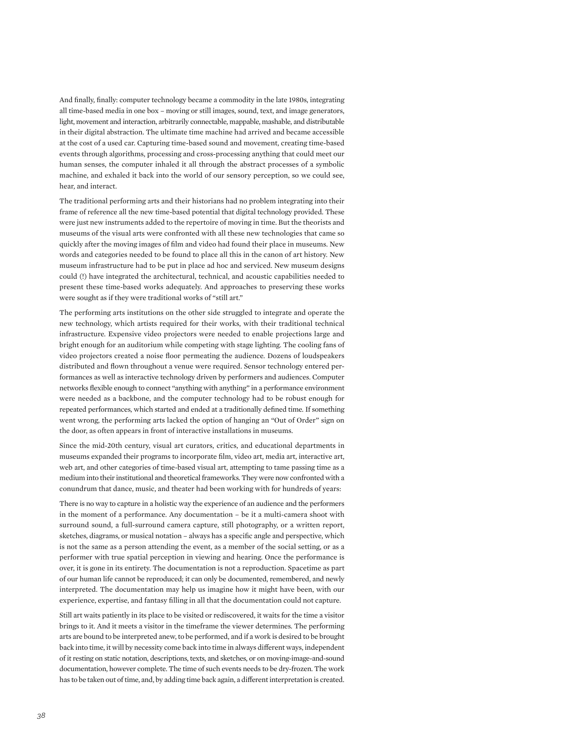And finally, finally: computer technology became a commodity in the late 1980s, integrating all time-based media in one box – moving or still images, sound, text, and image generators, light, movement and interaction, arbitrarily connectable, mappable, mashable, and distributable in their digital abstraction. The ultimate time machine had arrived and became accessible at the cost of a used car. Capturing time-based sound and movement, creating time-based events through algorithms, processing and cross-processing anything that could meet our human senses, the computer inhaled it all through the abstract processes of a symbolic machine, and exhaled it back into the world of our sensory perception, so we could see, hear, and interact.

The traditional performing arts and their historians had no problem integrating into their frame of reference all the new time-based potential that digital technology provided. These were just new instruments added to the repertoire of moving in time. But the theorists and museums of the visual arts were confronted with all these new technologies that came so quickly after the moving images of film and video had found their place in museums. New words and categories needed to be found to place all this in the canon of art history. New museum infrastructure had to be put in place ad hoc and serviced. New museum designs could (!) have integrated the architectural, technical, and acoustic capabilities needed to present these time-based works adequately. And approaches to preserving these works were sought as if they were traditional works of "still art."

The performing arts institutions on the other side struggled to integrate and operate the new technology, which artists required for their works, with their traditional technical infrastructure. Expensive video projectors were needed to enable projections large and bright enough for an auditorium while competing with stage lighting. The cooling fans of video projectors created a noise floor permeating the audience. Dozens of loudspeakers distributed and flown throughout a venue were required. Sensor technology entered performances as well as interactive technology driven by performers and audiences. Computer networks flexible enough to connect "anything with anything" in a performance environment were needed as a backbone, and the computer technology had to be robust enough for repeated performances, which started and ended at a traditionally defined time. If something went wrong, the performing arts lacked the option of hanging an "Out of Order" sign on the door, as often appears in front of interactive installations in museums.

Since the mid-20th century, visual art curators, critics, and educational departments in museums expanded their programs to incorporate film, video art, media art, interactive art, web art, and other categories of time-based visual art, attempting to tame passing time as a medium into their institutional and theoretical frameworks. They were now confronted with a conundrum that dance, music, and theater had been working with for hundreds of years:

There is no way to capture in a holistic way the experience of an audience and the performers in the moment of a performance. Any documentation – be it a multi-camera shoot with surround sound, a full-surround camera capture, still photography, or a written report, sketches, diagrams, or musical notation – always has a specific angle and perspective, which is not the same as a person attending the event, as a member of the social setting, or as a performer with true spatial perception in viewing and hearing. Once the performance is over, it is gone in its entirety. The documentation is not a reproduction. Spacetime as part of our human life cannot be reproduced; it can only be documented, remembered, and newly interpreted. The documentation may help us imagine how it might have been, with our experience, expertise, and fantasy filling in all that the documentation could not capture.

Still art waits patiently in its place to be visited or rediscovered, it waits for the time a visitor brings to it. And it meets a visitor in the timeframe the viewer determines. The performing arts are bound to be interpreted anew, to be performed, and if a work is desired to be brought back into time, it will by necessity come back into time in always different ways, independent of it resting on static notation, descriptions, texts, and sketches, or on moving-image-and-sound documentation, however complete. The time of such events needs to be dry-frozen. The work has to be taken out of time, and, by adding time back again, a different interpretation is created.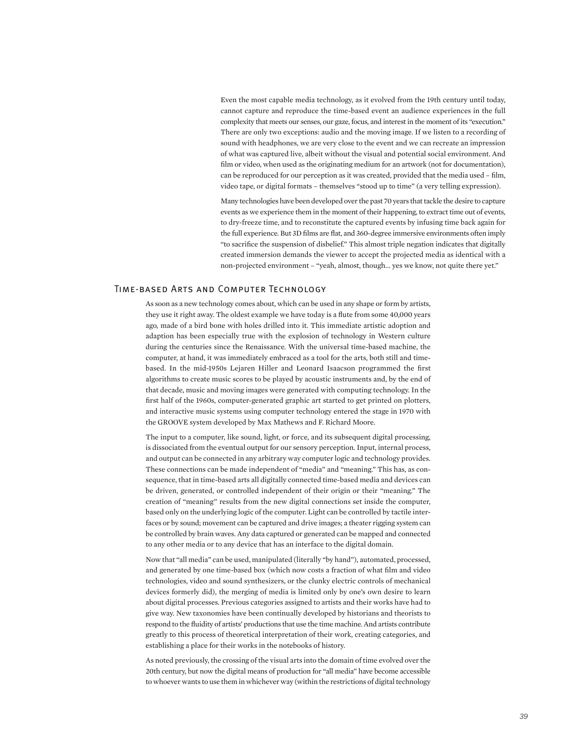Even the most capable media technology, as it evolved from the 19th century until today, cannot capture and reproduce the time-based event an audience experiences in the full complexity that meets our senses, our gaze, focus, and interest in the moment of its "execution." There are only two exceptions: audio and the moving image. If we listen to a recording of sound with headphones, we are very close to the event and we can recreate an impression of what was captured live, albeit without the visual and potential social environment. And film or video, when used as the originating medium for an artwork (not for documentation), can be reproduced for our perception as it was created, provided that the media used – film, video tape, or digital formats – themselves "stood up to time" (a very telling expression).

Many technologies have been developed over the past 70 years that tackle the desire to capture events as we experience them in the moment of their happening, to extract time out of events, to dry-freeze time, and to reconstitute the captured events by infusing time back again for the full experience. But 3D films are flat, and 360-degree immersive environments often imply "to sacrifice the suspension of disbelief." This almost triple negation indicates that digitally created immersion demands the viewer to accept the projected media as identical with a non-projected environment – "yeah, almost, though... yes we know, not quite there yet."

### Time-based Arts and Computer Technology

As soon as a new technology comes about, which can be used in any shape or form by artists, they use it right away. The oldest example we have today is a flute from some 40,000 years ago, made of a bird bone with holes drilled into it. This immediate artistic adoption and adaption has been especially true with the explosion of technology in Western culture during the centuries since the Renaissance. With the universal time-based machine, the computer, at hand, it was immediately embraced as a tool for the arts, both still and timebased. In the mid-1950s Lejaren Hiller and Leonard Isaacson programmed the first algorithms to create music scores to be played by acoustic instruments and, by the end of that decade, music and moving images were generated with computing technology. In the first half of the 1960s, computer-generated graphic art started to get printed on plotters, and interactive music systems using computer technology entered the stage in 1970 with the GROOVE system developed by Max Mathews and F. Richard Moore.

The input to a computer, like sound, light, or force, and its subsequent digital processing, is dissociated from the eventual output for our sensory perception. Input, internal process, and output can be connected in any arbitrary way computer logic and technology provides. These connections can be made independent of "media" and "meaning." This has, as consequence, that in time-based arts all digitally connected time-based media and devices can be driven, generated, or controlled independent of their origin or their "meaning." The creation of "meaning" results from the new digital connections set inside the computer, based only on the underlying logic of the computer. Light can be controlled by tactile interfaces or by sound; movement can be captured and drive images; a theater rigging system can be controlled by brain waves. Any data captured or generated can be mapped and connected to any other media or to any device that has an interface to the digital domain.

Now that "all media" can be used, manipulated (literally "by hand"), automated, processed, and generated by one time-based box (which now costs a fraction of what film and video technologies, video and sound synthesizers, or the clunky electric controls of mechanical devices formerly did), the merging of media is limited only by one's own desire to learn about digital processes. Previous categories assigned to artists and their works have had to give way. New taxonomies have been continually developed by historians and theorists to respond to the fluidity of artists' productions that use the time machine. And artists contribute greatly to this process of theoretical interpretation of their work, creating categories, and establishing a place for their works in the notebooks of history.

As noted previously, the crossing of the visual arts into the domain of time evolved over the 20th century, but now the digital means of production for "all media" have become accessible to whoever wants to use them in whichever way (within the restrictions of digital technology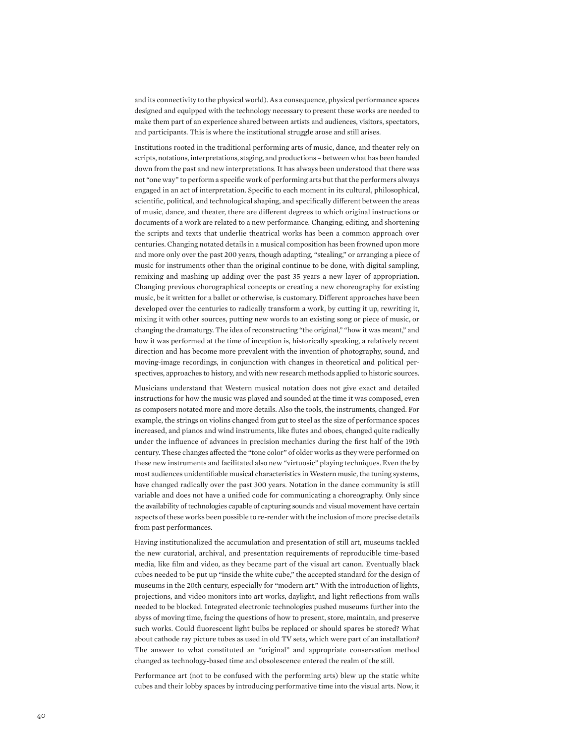and its connectivity to the physical world). As a consequence, physical performance spaces designed and equipped with the technology necessary to present these works are needed to make them part of an experience shared between artists and audiences, visitors, spectators, and participants. This is where the institutional struggle arose and still arises.

Institutions rooted in the traditional performing arts of music, dance, and theater rely on scripts, notations, interpretations, staging, and productions – between what has been handed down from the past and new interpretations. It has always been understood that there was not "one way" to perform a specific work of performing arts but that the performers always engaged in an act of interpretation. Specific to each moment in its cultural, philosophical, scientific, political, and technological shaping, and specifically different between the areas of music, dance, and theater, there are different degrees to which original instructions or documents of a work are related to a new performance. Changing, editing, and shortening the scripts and texts that underlie theatrical works has been a common approach over centuries. Changing notated details in a musical composition has been frowned upon more and more only over the past 200 years, though adapting, "stealing," or arranging a piece of music for instruments other than the original continue to be done, with digital sampling, remixing and mashing up adding over the past 35 years a new layer of appropriation. Changing previous chorographical concepts or creating a new choreography for existing music, be it written for a ballet or otherwise, is customary. Different approaches have been developed over the centuries to radically transform a work, by cutting it up, rewriting it, mixing it with other sources, putting new words to an existing song or piece of music, or changing the dramaturgy. The idea of reconstructing "the original," "how it was meant," and how it was performed at the time of inception is, historically speaking, a relatively recent direction and has become more prevalent with the invention of photography, sound, and moving-image recordings, in conjunction with changes in theoretical and political perspectives, approaches to history, and with new research methods applied to historic sources.

Musicians understand that Western musical notation does not give exact and detailed instructions for how the music was played and sounded at the time it was composed, even as composers notated more and more details. Also the tools, the instruments, changed. For example, the strings on violins changed from gut to steel as the size of performance spaces increased, and pianos and wind instruments, like flutes and oboes, changed quite radically under the influence of advances in precision mechanics during the first half of the 19th century. These changes affected the "tone color" of older works as they were performed on these new instruments and facilitated also new "virtuosic" playing techniques. Even the by most audiences unidentifiable musical characteristics in Western music, the tuning systems, have changed radically over the past 300 years. Notation in the dance community is still variable and does not have a unified code for communicating a choreography. Only since the availability of technologies capable of capturing sounds and visual movement have certain aspects of these works been possible to re-render with the inclusion of more precise details from past performances.

Having institutionalized the accumulation and presentation of still art, museums tackled the new curatorial, archival, and presentation requirements of reproducible time-based media, like film and video, as they became part of the visual art canon. Eventually black cubes needed to be put up "inside the white cube," the accepted standard for the design of museums in the 20th century, especially for "modern art." With the introduction of lights, projections, and video monitors into art works, daylight, and light reflections from walls needed to be blocked. Integrated electronic technologies pushed museums further into the abyss of moving time, facing the questions of how to present, store, maintain, and preserve such works. Could fluorescent light bulbs be replaced or should spares be stored? What about cathode ray picture tubes as used in old TV sets, which were part of an installation? The answer to what constituted an "original" and appropriate conservation method changed as technology-based time and obsolescence entered the realm of the still.

Performance art (not to be confused with the performing arts) blew up the static white cubes and their lobby spaces by introducing performative time into the visual arts. Now, it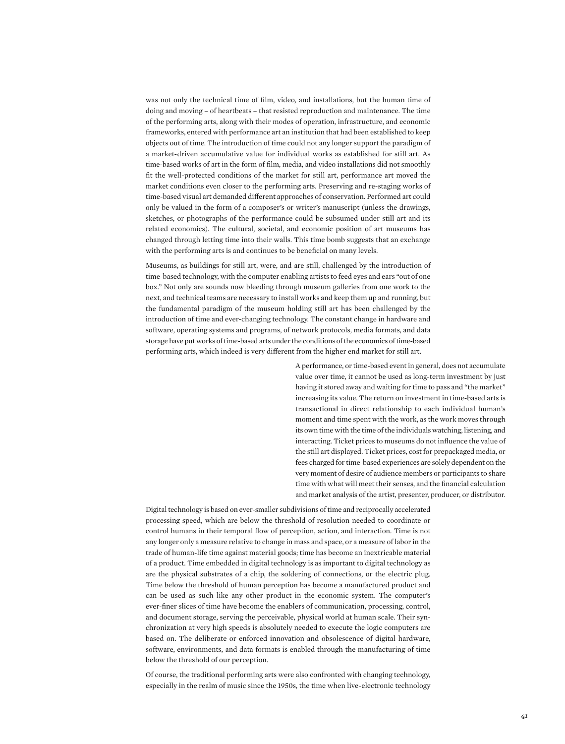was not only the technical time of film, video, and installations, but the human time of doing and moving – of heartbeats – that resisted reproduction and maintenance. The time of the performing arts, along with their modes of operation, infrastructure, and economic frameworks, entered with performance art an institution that had been established to keep objects out of time. The introduction of time could not any longer support the paradigm of a market-driven accumulative value for individual works as established for still art. As time-based works of art in the form of film, media, and video installations did not smoothly fit the well-protected conditions of the market for still art, performance art moved the market conditions even closer to the performing arts. Preserving and re-staging works of time-based visual art demanded different approaches of conservation. Performed art could only be valued in the form of a composer's or writer's manuscript (unless the drawings, sketches, or photographs of the performance could be subsumed under still art and its related economics). The cultural, societal, and economic position of art museums has changed through letting time into their walls. This time bomb suggests that an exchange with the performing arts is and continues to be beneficial on many levels.

Museums, as buildings for still art, were, and are still, challenged by the introduction of time-based technology, with the computer enabling artists to feed eyes and ears "out of one box." Not only are sounds now bleeding through museum galleries from one work to the next, and technical teams are necessary to install works and keep them up and running, but the fundamental paradigm of the museum holding still art has been challenged by the introduction of time and ever-changing technology. The constant change in hardware and software, operating systems and programs, of network protocols, media formats, and data storage have put works of time-based arts under the conditions of the economics of time-based performing arts, which indeed is very different from the higher end market for still art.

> A performance, or time-based event in general, does not accumulate value over time, it cannot be used as long-term investment by just having it stored away and waiting for time to pass and "the market" increasing its value. The return on investment in time-based arts is transactional in direct relationship to each individual human's moment and time spent with the work, as the work moves through its own time with the time of the individuals watching, listening, and interacting. Ticket prices to museums do not influence the value of the still art displayed. Ticket prices, cost for prepackaged media, or fees charged for time-based experiences are solely dependent on the very moment of desire of audience members or participants to share time with what will meet their senses, and the financial calculation and market analysis of the artist, presenter, producer, or distributor.

Digital technology is based on ever-smaller subdivisions of time and reciprocally accelerated processing speed, which are below the threshold of resolution needed to coordinate or control humans in their temporal flow of perception, action, and interaction. Time is not any longer only a measure relative to change in mass and space, or a measure of labor in the trade of human-life time against material goods; time has become an inextricable material of a product. Time embedded in digital technology is as important to digital technology as are the physical substrates of a chip, the soldering of connections, or the electric plug. Time below the threshold of human perception has become a manufactured product and can be used as such like any other product in the economic system. The computer's ever-finer slices of time have become the enablers of communication, processing, control, and document storage, serving the perceivable, physical world at human scale. Their synchronization at very high speeds is absolutely needed to execute the logic computers are based on. The deliberate or enforced innovation and obsolescence of digital hardware, software, environments, and data formats is enabled through the manufacturing of time below the threshold of our perception.

Of course, the traditional performing arts were also confronted with changing technology, especially in the realm of music since the 1950s, the time when live-electronic technology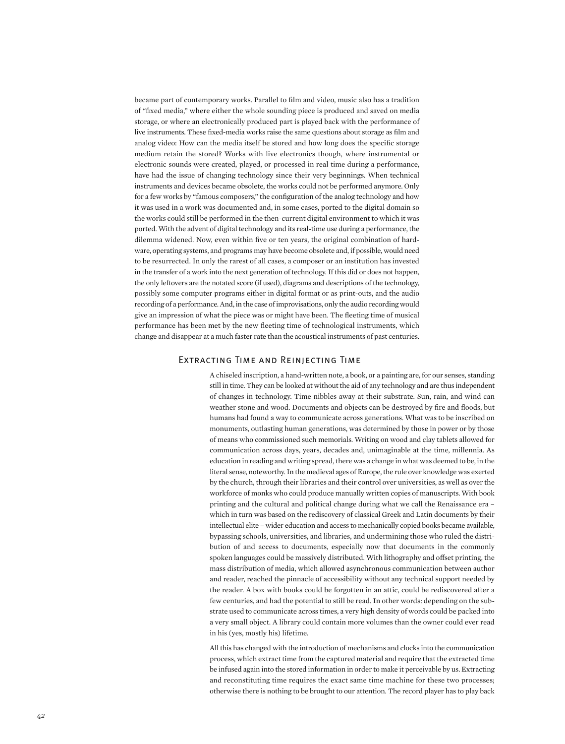became part of contemporary works. Parallel to film and video, music also has a tradition of "fixed media," where either the whole sounding piece is produced and saved on media storage, or where an electronically produced part is played back with the performance of live instruments. These fixed-media works raise the same questions about storage as film and analog video: How can the media itself be stored and how long does the specific storage medium retain the stored? Works with live electronics though, where instrumental or electronic sounds were created, played, or processed in real time during a performance, have had the issue of changing technology since their very beginnings. When technical instruments and devices became obsolete, the works could not be performed anymore. Only for a few works by "famous composers," the configuration of the analog technology and how it was used in a work was documented and, in some cases, ported to the digital domain so the works could still be performed in the then-current digital environment to which it was ported. With the advent of digital technology and its real-time use during a performance, the dilemma widened. Now, even within five or ten years, the original combination of hardware, operating systems, and programs may have become obsolete and, if possible, would need to be resurrected. In only the rarest of all cases, a composer or an institution has invested in the transfer of a work into the next generation of technology. If this did or does not happen, the only leftovers are the notated score (if used), diagrams and descriptions of the technology, possibly some computer programs either in digital format or as print-outs, and the audio recording of a performance. And, in the case of improvisations, only the audio recording would give an impression of what the piece was or might have been. The fleeting time of musical performance has been met by the new fleeting time of technological instruments, which change and disappear at a much faster rate than the acoustical instruments of past centuries.

### Extracting Time and Reinjecting Time

A chiseled inscription, a hand-written note, a book, or a painting are, for our senses, standing still in time. They can be looked at without the aid of any technology and are thus independent of changes in technology. Time nibbles away at their substrate. Sun, rain, and wind can weather stone and wood. Documents and objects can be destroyed by fire and floods, but humans had found a way to communicate across generations. What was to be inscribed on monuments, outlasting human generations, was determined by those in power or by those of means who commissioned such memorials. Writing on wood and clay tablets allowed for communication across days, years, decades and, unimaginable at the time, millennia. As education in reading and writing spread, there was a change in what was deemed to be, in the literal sense, noteworthy. In the medieval ages of Europe, the rule over knowledge was exerted by the church, through their libraries and their control over universities, as well as over the workforce of monks who could produce manually written copies of manuscripts. With book printing and the cultural and political change during what we call the Renaissance era – which in turn was based on the rediscovery of classical Greek and Latin documents by their intellectual elite – wider education and access to mechanically copied books became available, bypassing schools, universities, and libraries, and undermining those who ruled the distribution of and access to documents, especially now that documents in the commonly spoken languages could be massively distributed. With lithography and offset printing, the mass distribution of media, which allowed asynchronous communication between author and reader, reached the pinnacle of accessibility without any technical support needed by the reader. A box with books could be forgotten in an attic, could be rediscovered after a few centuries, and had the potential to still be read. In other words: depending on the substrate used to communicate across times, a very high density of words could be packed into a very small object. A library could contain more volumes than the owner could ever read in his (yes, mostly his) lifetime.

All this has changed with the introduction of mechanisms and clocks into the communication process, which extract time from the captured material and require that the extracted time be infused again into the stored information in order to make it perceivable by us. Extracting and reconstituting time requires the exact same time machine for these two processes; otherwise there is nothing to be brought to our attention. The record player has to play back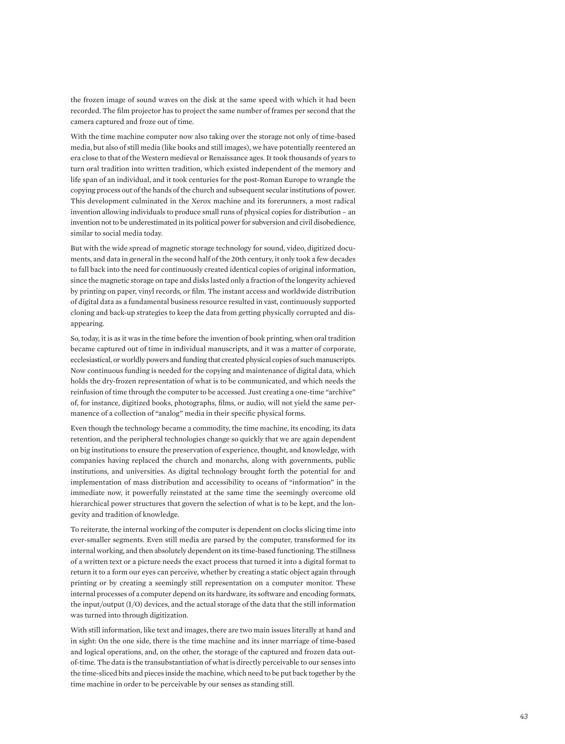the frozen image of sound waves on the disk at the same speed with which it had been recorded. The film projector has to project the same number of frames per second that the camera captured and froze out of time.

With the time machine computer now also taking over the storage not only of time-based media, but also of still media (like books and still images), we have potentially reentered an era close to that of the Western medieval or Renaissance ages. It took thousands of years to turn oral tradition into written tradition, which existed independent of the memory and life span of an individual, and it took centuries for the post-Roman Europe to wrangle the copying process out of the hands of the church and subsequent secular institutions of power. This development culminated in the Xerox machine and its forerunners, a most radical invention allowing individuals to produce small runs of physical copies for distribution – an invention not to be underestimated in its political power for subversion and civil disobedience, similar to social media today.

But with the wide spread of magnetic storage technology for sound, video, digitized docu ments, and data in general in the second half of the 20th century, it only took a few decades to fall back into the need for continuously created identical copies of original information, since the magnetic storage on tape and disks lasted only a fraction of the longevity achieved by printing on paper, vinyl records, or film. The instant access and worldwide distribution of digital data as a fundamental business resource resulted in vast, continuously supported cloning and back-up strategies to keep the data from getting physically corrupted and dis appearing.

So, today, it is as it was in the time before the invention of book printing, when oral tradition became captured out of time in individual manuscripts, and it was a matter of corporate, ecclesiastical, or worldly powers and funding that created physical copies of such manuscripts. Now continuous funding is needed for the copying and maintenance of digital data, which holds the dry-frozen representation of what is to be communicated, and which needs the reinfusion of time through the computer to be accessed. Just creating a one-time "archive" of, for instance, digitized books, photographs, films, or audio, will not yield the same per manence of a collection of "analog" media in their specific physical forms.

Even though the technology became a commodity, the time machine, its encoding, its data retention, and the peripheral technologies change so quickly that we are again dependent on big institutions to ensure the preservation of experience, thought, and knowledge, with companies having replaced the church and monarchs, along with governments, public institutions, and universities. As digital technology brought forth the potential for and implementation of mass distribution and accessibility to oceans of "information" in the immediate now, it powerfully reinstated at the same time the seemingly overcome old hierarchical power structures that govern the selection of what is to be kept, and the lon gevity and tradition of knowledge.

To reiterate, the internal working of the computer is dependent on clocks slicing time into ever-smaller segments. Even still media are parsed by the computer, transformed for its internal working, and then absolutely dependent on its time-based functioning. The stillness of a written text or a picture needs the exact process that turned it into a digital format to return it to a form our eyes can perceive, whether by creating a static object again through printing or by creating a seemingly still representation on a computer monitor. These internal processes of a computer depend on its hardware, its software and encoding formats, the input/output (I/O) devices, and the actual storage of the data that the still information was turned into through digitization.

With still information, like text and images, there are two main issues literally at hand and in sight: On the one side, there is the time machine and its inner marriage of time-based and logical operations, and, on the other, the storage of the captured and frozen data outof-time. The data is the transubstantiation of what is directly perceivable to our senses into the time-sliced bits and pieces inside the machine, which need to be put back together by the time machine in order to be perceivable by our senses as standing still.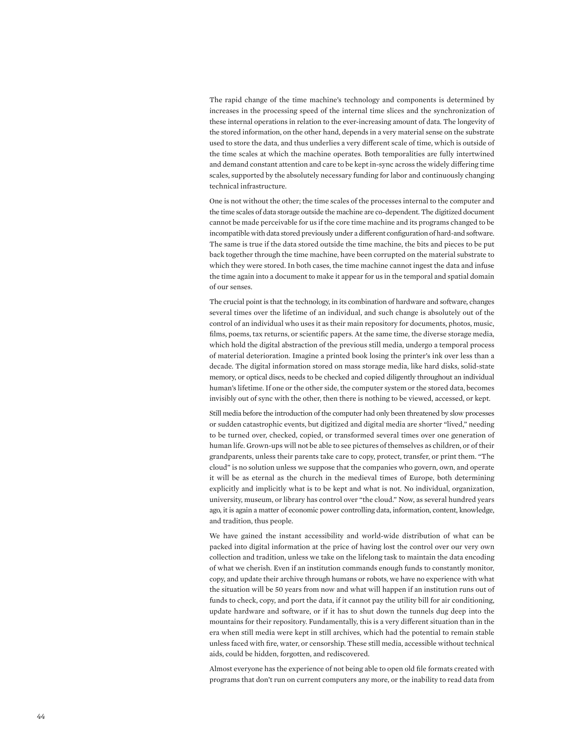The rapid change of the time machine's technology and components is determined by increases in the processing speed of the internal time slices and the synchronization of these internal operations in relation to the ever-increasing amount of data. The longevity of the stored information, on the other hand, depends in a very material sense on the substrate used to store the data, and thus underlies a very different scale of time, which is outside of the time scales at which the machine operates. Both temporalities are fully intertwined and demand constant attention and care to be kept in-sync across the widely differing time scales, supported by the absolutely necessary funding for labor and continuously changing technical infrastructure.

One is not without the other; the time scales of the processes internal to the computer and the time scales of data storage outside the machine are co-dependent. The digitized document cannot be made perceivable for us if the core time machine and its programs changed to be incompatible with data stored previously under a different configuration of hard-and software. The same is true if the data stored outside the time machine, the bits and pieces to be put back together through the time machine, have been corrupted on the material substrate to which they were stored. In both cases, the time machine cannot ingest the data and infuse the time again into a document to make it appear for us in the temporal and spatial domain of our senses.

The crucial point is that the technology, in its combination of hardware and software, changes several times over the lifetime of an individual, and such change is absolutely out of the control of an individual who uses it as their main repository for documents, photos, music, films, poems, tax returns, or scientific papers. At the same time, the diverse storage media, which hold the digital abstraction of the previous still media, undergo a temporal process of material deterioration. Imagine a printed book losing the printer's ink over less than a decade. The digital information stored on mass storage media, like hard disks, solid-state memory, or optical discs, needs to be checked and copied diligently throughout an individual human's lifetime. If one or the other side, the computer system or the stored data, becomes invisibly out of sync with the other, then there is nothing to be viewed, accessed, or kept.

Still media before the introduction of the computer had only been threatened by slow processes or sudden catastrophic events, but digitized and digital media are shorter "lived," needing to be turned over, checked, copied, or transformed several times over one generation of human life. Grown-ups will not be able to see pictures of themselves as children, or of their grandparents, unless their parents take care to copy, protect, transfer, or print them. "The cloud" is no solution unless we suppose that the companies who govern, own, and operate it will be as eternal as the church in the medieval times of Europe, both determining explicitly and implicitly what is to be kept and what is not. No individual, organization, university, museum, or library has control over "the cloud." Now, as several hundred years ago, it is again a matter of economic power controlling data, information, content, knowledge, and tradition, thus people.

We have gained the instant accessibility and world-wide distribution of what can be packed into digital information at the price of having lost the control over our very own collection and tradition, unless we take on the lifelong task to maintain the data encoding of what we cherish. Even if an institution commands enough funds to constantly monitor, copy, and update their archive through humans or robots, we have no experience with what the situation will be 50 years from now and what will happen if an institution runs out of funds to check, copy, and port the data, if it cannot pay the utility bill for air conditioning, update hardware and software, or if it has to shut down the tunnels dug deep into the mountains for their repository. Fundamentally, this is a very different situation than in the era when still media were kept in still archives, which had the potential to remain stable unless faced with fire, water, or censorship. These still media, accessible without technical aids, could be hidden, forgotten, and rediscovered.

Almost everyone has the experience of not being able to open old file formats created with programs that don't run on current computers any more, or the inability to read data from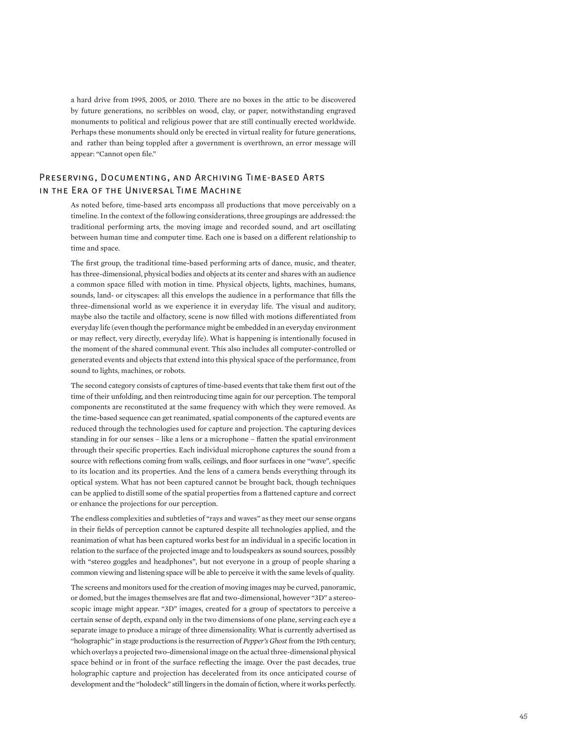a hard drive from 1995, 2005, or 2010. There are no boxes in the attic to be discovered by future generations, no scribbles on wood, clay, or paper, notwithstanding engraved monuments to political and religious power that are still continually erected worldwide. Perhaps these monuments should only be erected in virtual reality for future generations, and rather than being toppled after a government is overthrown, an error message will appear: "Cannot open file."

### Preserving, Documenting, and Archiving Time-based Arts in the Era of the Universal Time Machine

As noted before, time-based arts encompass all productions that move perceivably on a timeline. In the context of the following considerations, three groupings are addressed: the traditional performing arts, the moving image and recorded sound, and art oscillating between human time and computer time. Each one is based on a different relationship to time and space.

The first group, the traditional time-based performing arts of dance, music, and theater, has three-dimensional, physical bodies and objects at its center and shares with an audience a common space filled with motion in time. Physical objects, lights, machines, humans, sounds, land- or cityscapes: all this envelops the audience in a performance that fills the three-dimensional world as we experience it in everyday life. The visual and auditory, maybe also the tactile and olfactory, scene is now filled with motions differentiated from everyday life (even though the performance might be embedded in an everyday environment or may reflect, very directly, everyday life). What is happening is intentionally focused in the moment of the shared communal event. This also includes all computer-controlled or generated events and objects that extend into this physical space of the performance, from sound to lights, machines, or robots.

The second category consists of captures of time-based events that take them first out of the time of their unfolding, and then reintroducing time again for our perception. The temporal components are reconstituted at the same frequency with which they were removed. As the time-based sequence can get reanimated, spatial components of the captured events are reduced through the technologies used for capture and projection. The capturing devices standing in for our senses – like a lens or a microphone – flatten the spatial environment through their specific properties. Each individual microphone captures the sound from a source with reflections coming from walls, ceilings, and floor surfaces in one "wave", specific to its location and its properties. And the lens of a camera bends everything through its optical system. What has not been captured cannot be brought back, though techniques can be applied to distill some of the spatial properties from a flattened capture and correct or enhance the projections for our perception.

The endless complexities and subtleties of "rays and waves" as they meet our sense organs in their fields of perception cannot be captured despite all technologies applied, and the reanimation of what has been captured works best for an individual in a specific location in relation to the surface of the projected image and to loudspeakers as sound sources, possibly with "stereo goggles and headphones", but not everyone in a group of people sharing a common viewing and listening space will be able to perceive it with the same levels of quality.

The screens and monitors used for the creation of moving images may be curved, panoramic, or domed, but the images themselves are flat and two-dimensional, however "3D" a stereoscopic image might appear. "3D" images, created for a group of spectators to perceive a certain sense of depth, expand only in the two dimensions of one plane, serving each eye a separate image to produce a mirage of three dimensionality. What is currently advertised as "holographic" in stage productions is the resurrection of *Pepper's Ghost* from the 19th century, which overlays a projected two-dimensional image on the actual three-dimensional physical space behind or in front of the surface reflecting the image. Over the past decades, true holographic capture and projection has decelerated from its once anticipated course of development and the "holodeck" still lingers in the domain of fiction, where it works perfectly.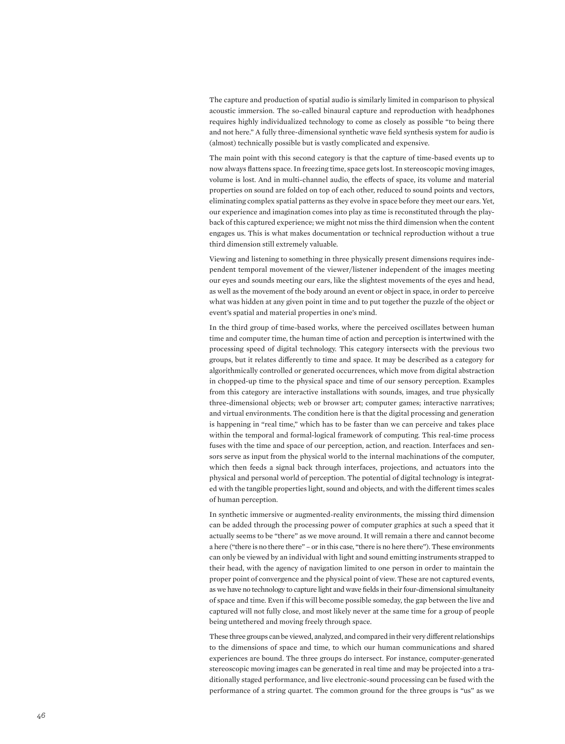The capture and production of spatial audio is similarly limited in comparison to physical acoustic immersion. The so-called binaural capture and reproduction with headphones requires highly individualized technology to come as closely as possible "to being there and not here." A fully three-dimensional synthetic wave field synthesis system for audio is (almost) technically possible but is vastly complicated and expensive.

The main point with this second category is that the capture of time-based events up to now always flattens space. In freezing time, space gets lost. In stereoscopic moving images, volume is lost. And in multi-channel audio, the effects of space, its volume and material properties on sound are folded on top of each other, reduced to sound points and vectors, eliminating complex spatial patterns as they evolve in space before they meet our ears. Yet, our experience and imagination comes into play as time is reconstituted through the play back of this captured experience; we might not miss the third dimension when the content engages us. This is what makes documentation or technical reproduction without a true third dimension still extremely valuable.

Viewing and listening to something in three physically present dimensions requires inde pendent temporal movement of the viewer/listener independent of the images meeting our eyes and sounds meeting our ears, like the slightest movements of the eyes and head, as well as the movement of the body around an event or object in space, in order to perceive what was hidden at any given point in time and to put together the puzzle of the object or event's spatial and material properties in one's mind.

In the third group of time-based works, where the perceived oscillates between human time and computer time, the human time of action and perception is intertwined with the processing speed of digital technology. This category intersects with the previous two groups, but it relates differently to time and space. It may be described as a category for algorithmically controlled or generated occurrences, which move from digital abstraction in chopped-up time to the physical space and time of our sensory perception. Examples from this category are interactive installations with sounds, images, and true physically three-dimensional objects; web or browser art; computer games; interactive narratives; and virtual environments. The condition here is that the digital processing and generation is happening in "real time," which has to be faster than we can perceive and takes place within the temporal and formal-logical framework of computing. This real-time process fuses with the time and space of our perception, action, and reaction. Interfaces and sen sors serve as input from the physical world to the internal machinations of the computer, which then feeds a signal back through interfaces, projections, and actuators into the physical and personal world of perception. The potential of digital technology is integrat ed with the tangible properties light, sound and objects, and with the different times scales of human perception.

In synthetic immersive or augmented-reality environments, the missing third dimension can be added through the processing power of computer graphics at such a speed that it actually seems to be "there" as we move around. It will remain a there and cannot become a here ("there is no there there" – or in this case, "there is no here there"). These environments can only be viewed by an individual with light and sound emitting instruments strapped to their head, with the agency of navigation limited to one person in order to maintain the proper point of convergence and the physical point of view. These are not captured events, as we have no technology to capture light and wave fields in their four-dimensional simultaneity of space and time. Even if this will become possible someday, the gap between the live and captured will not fully close, and most likely never at the same time for a group of people being untethered and moving freely through space.

These three groups can be viewed, analyzed, and compared in their very different relationships to the dimensions of space and time, to which our human communications and shared experiences are bound. The three groups do intersect. For instance, computer-generated stereoscopic moving images can be generated in real time and may be projected into a tra ditionally staged performance, and live electronic-sound processing can be fused with the performance of a string quartet. The common ground for the three groups is "us" as we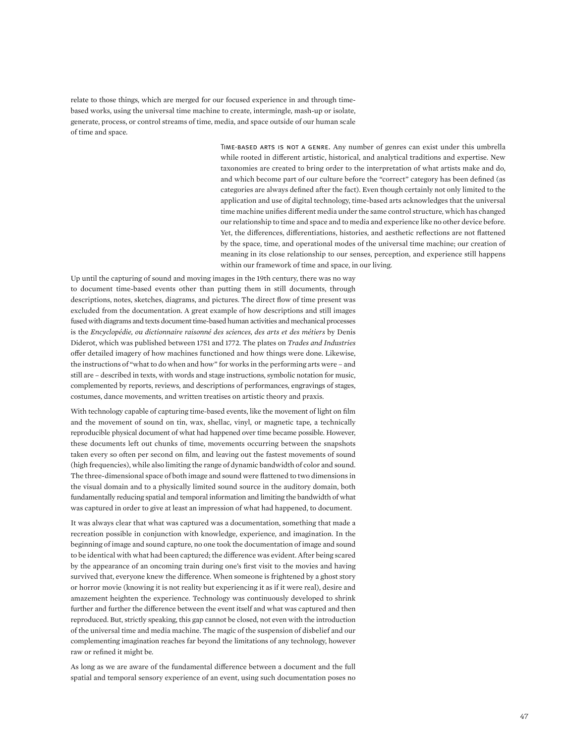relate to those things, which are merged for our focused experience in and through timebased works, using the universal time machine to create, intermingle, mash-up or isolate, generate, process, or control streams of time, media, and space outside of our human scale of time and space.

> Time-based arts is not a genre. Any number of genres can exist under this umbrella while rooted in different artistic, historical, and analytical traditions and expertise. New taxonomies are created to bring order to the interpretation of what artists make and do, and which become part of our culture before the "correct" category has been defined (as categories are always defined after the fact). Even though certainly not only limited to the application and use of digital technology, time-based arts acknowledges that the universal time machine unifies different media under the same control structure, which has changed our relationship to time and space and to media and experience like no other device before. Yet, the differences, differentiations, histories, and aesthetic reflections are not flattened by the space, time, and operational modes of the universal time machine; our creation of meaning in its close relationship to our senses, perception, and experience still happens within our framework of time and space, in our living.

Up until the capturing of sound and moving images in the 19th century, there was no way to document time-based events other than putting them in still documents, through descriptions, notes, sketches, diagrams, and pictures. The direct flow of time present was excluded from the documentation. A great example of how descriptions and still images fused with diagrams and texts document time-based human activities and mechanical processes is the *Encyclopédie, ou dictionnaire raisonné des sciences, des arts et des métiers* by Denis Diderot, which was published between 1751 and 1772. The plates on *Trades and Industries* offer detailed imagery of how machines functioned and how things were done. Likewise, the instructions of "what to do when and how" for works in the performing arts were – and still are – described in texts, with words and stage instructions, symbolic notation for music, complemented by reports, reviews, and descriptions of performances, engravings of stages, costumes, dance movements, and written treatises on artistic theory and praxis.

With technology capable of capturing time-based events, like the movement of light on film and the movement of sound on tin, wax, shellac, vinyl, or magnetic tape, a technically reproducible physical document of what had happened over time became possible. However, these documents left out chunks of time, movements occurring between the snapshots taken every so often per second on film, and leaving out the fastest movements of sound (high frequencies), while also limiting the range of dynamic bandwidth of color and sound. The three-dimensional space of both image and sound were flattened to two dimensions in the visual domain and to a physically limited sound source in the auditory domain, both fundamentally reducing spatial and temporal information and limiting the bandwidth of what was captured in order to give at least an impression of what had happened, to document.

It was always clear that what was captured was a documentation, something that made a recreation possible in conjunction with knowledge, experience, and imagination. In the beginning of image and sound capture, no one took the documentation of image and sound to be identical with what had been captured; the difference was evident. After being scared by the appearance of an oncoming train during one's first visit to the movies and having survived that, everyone knew the difference. When someone is frightened by a ghost story or horror movie (knowing it is not reality but experiencing it as if it were real), desire and amazement heighten the experience. Technology was continuously developed to shrink further and further the difference between the event itself and what was captured and then reproduced. But, strictly speaking, this gap cannot be closed, not even with the introduction of the universal time and media machine. The magic of the suspension of disbelief and our complementing imagination reaches far beyond the limitations of any technology, however raw or refined it might be.

As long as we are aware of the fundamental difference between a document and the full spatial and temporal sensory experience of an event, using such documentation poses no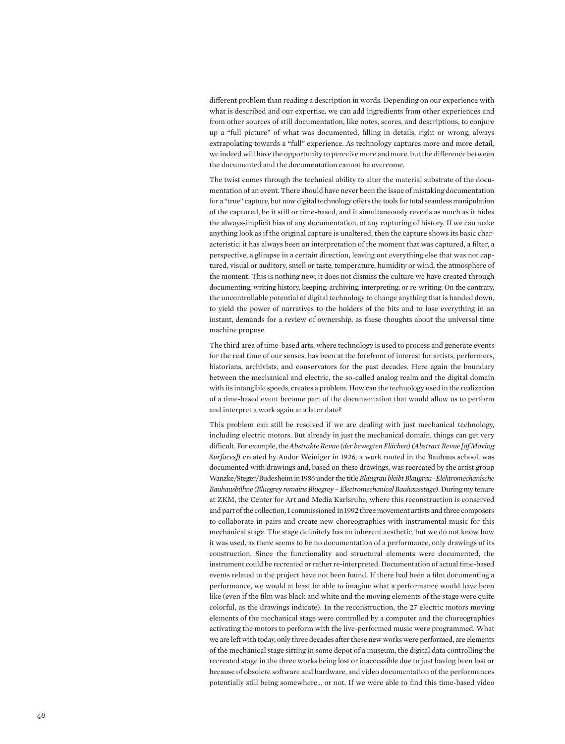different problem than reading a description in words. Depending on our experience with what is described and our expertise, we can add ingredients from other experiences and from other sources of still documentation, like notes, scores, and descriptions, to conjure up a "full picture" of what was documented, filling in details, right or wrong, always extrapolating towards a "full" experience. As technology captures more and more detail, we indeed will have the opportunity to perceive more and more, but the difference between the documented and the documentation cannot be overcome.

The twist comes through the technical ability to alter the material substrate of the documentation of an event. There should have never been the issue of mistaking documentation for a "true" capture, but now digital technology offers the tools for total seamless manipulation of the captured, be it still or time-based, and it simultaneously reveals as much as it hides the always-implicit bias of any documentation, of any capturing of history. If we can make anything look as if the original capture is unaltered, then the capture shows its basic characteristic: it has always been an interpretation of the moment that was captured, a filter, a perspective, a glimpse in a certain direction, leaving out everything else that was not captured, visual or auditory, smell or taste, temperature, humidity or wind, the atmosphere of the moment. This is nothing new, it does not dismiss the culture we have created through documenting, writing history, keeping, archiving, interpreting, or re-writing. On the contrary, the uncontrollable potential of digital technology to change anything that is handed down, to yield the power of narratives to the holders of the bits and to lose everything in an instant, demands for a review of ownership, as these thoughts about the universal time machine propose.

The third area of time-based arts, where technology is used to process and generate events for the real time of our senses, has been at the forefront of interest for artists, performers, historians, archivists, and conservators for the past decades. Here again the boundary between the mechanical and electric, the so-called analog realm and the digital domain with its intangible speeds, creates a problem. How can the technology used in the realization of a time-based event become part of the documentation that would allow us to perform and interpret a work again at a later date?

This problem can still be resolved if we are dealing with just mechanical technology, including electric motors. But already in just the mechanical domain, things can get very difficult. For example, the *Abstrakte Revue (der bewegten Flächen) (Abstract Revue [of Moving Surfaces])* created by Andor Weiniger in 1926, a work rooted in the Bauhaus school, was documented with drawings and, based on these drawings, was recreated by the artist group Wanzke/Steger/Budesheim in 1986 under the title *Blaugrau bleibt Blaugrau–Elektromechanische Bauhausbühne (Bluegrey remains Bluegrey – Electromechanical Bauhausstage)*. During my tenure at ZKM, the Center for Art and Media Karlsruhe, where this reconstruction is conserved and part of the collection, I commissioned in 1992 three movement artists and three composers to collaborate in pairs and create new choreographies with instrumental music for this mechanical stage. The stage definitely has an inherent aesthetic, but we do not know how it was used, as there seems to be no documentation of a performance, only drawings of its construction. Since the functionality and structural elements were documented, the instrument could be recreated or rather re-interpreted. Documentation of actual time-based events related to the project have not been found. If there had been a film documenting a performance, we would at least be able to imagine what a performance would have been like (even if the film was black and white and the moving elements of the stage were quite colorful, as the drawings indicate). In the reconstruction, the 27 electric motors moving elements of the mechanical stage were controlled by a computer and the choreographies activating the motors to perform with the live-performed music were programmed. What we are left with today, only three decades after these new works were performed, are elements of the mechanical stage sitting in some depot of a museum, the digital data controlling the recreated stage in the three works being lost or inaccessible due to just having been lost or because of obsolete software and hardware, and video documentation of the performances potentially still being somewhere… or not. If we were able to find this time-based video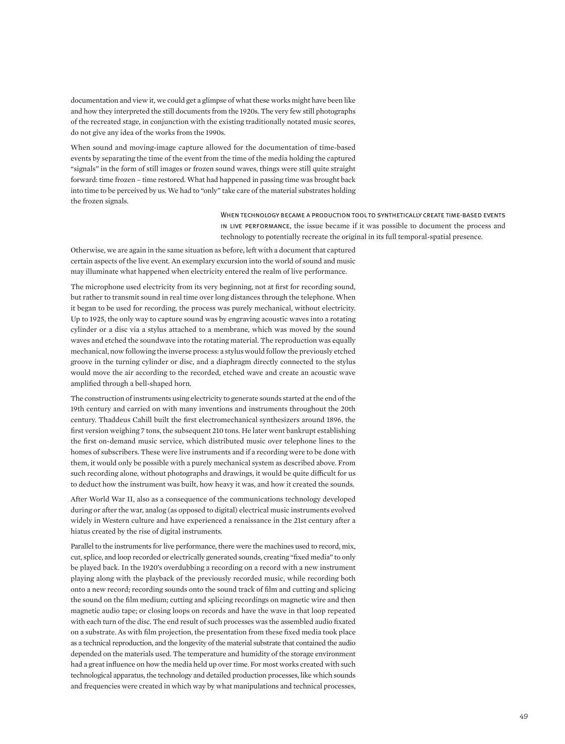documentation and view it, we could get a glimpse of what these works might have been like and how they interpreted the still documents from the 1920s. The very few still photographs of the recreated stage, in conjunction with the existing traditionally notated music scores, do not give any idea of the works from the 1990s.

When sound and moving-image capture allowed for the documentation of time-based events by separating the time of the event from the time of the media holding the captured "signals" in the form of still images or frozen sound waves, things were still quite straight forward: time frozen – time restored. What had happened in passing time was brought back into time to be perceived by us. We had to "only" take care of the material substrates holding the frozen signals.

> When technology became a production tool to synthetically create time-based events in live performance, the issue became if it was possible to document the process and technology to potentially recreate the original in its full temporal-spatial presence.

Otherwise, we are again in the same situation as before, left with a document that captured certain aspects of the live event. An exemplary excursion into the world of sound and music may illuminate what happened when electricity entered the realm of live performance.

The microphone used electricity from its very beginning, not at first for recording sound, but rather to transmit sound in real time over long distances through the telephone. When it began to be used for recording, the process was purely mechanical, without electricity. Up to 1925, the only way to capture sound was by engraving acoustic waves into a rotating cylinder or a disc via a stylus attached to a membrane, which was moved by the sound waves and etched the soundwave into the rotating material. The reproduction was equally mechanical, now following the inverse process: a stylus would follow the previously etched groove in the turning cylinder or disc, and a diaphragm directly connected to the stylus would move the air according to the recorded, etched wave and create an acoustic wave amplified through a bell-shaped horn.

The construction of instruments using electricity to generate sounds started at the end of the 19th century and carried on with many inventions and instruments throughout the 20th century. Thaddeus Cahill built the first electromechanical synthesizers around 1896, the first version weighing 7 tons, the subsequent 210 tons. He later went bankrupt establishing the first on-demand music service, which distributed music over telephone lines to the homes of subscribers. These were live instruments and if a recording were to be done with them, it would only be possible with a purely mechanical system as described above. From such recording alone, without photographs and drawings, it would be quite difficult for us to deduct how the instrument was built, how heavy it was, and how it created the sounds.

After World War II, also as a consequence of the communications technology developed during or after the war, analog (as opposed to digital) electrical music instruments evolved widely in Western culture and have experienced a renaissance in the 21st century after a hiatus created by the rise of digital instruments.

Parallel to the instruments for live performance, there were the machines used to record, mix, cut, splice, and loop recorded or electrically generated sounds, creating "fixed media" to only be played back. In the 1920's overdubbing a recording on a record with a new instrument playing along with the playback of the previously recorded music, while recording both onto a new record; recording sounds onto the sound track of film and cutting and splicing the sound on the film medium; cutting and splicing recordings on magnetic wire and then magnetic audio tape; or closing loops on records and have the wave in that loop repeated with each turn of the disc. The end result of such processes was the assembled audio fixated on a substrate. As with film projection, the presentation from these fixed media took place as a technical reproduction, and the longevity of the material substrate that contained the audio depended on the materials used. The temperature and humidity of the storage environment had a great influence on how the media held up over time. For most works created with such technological apparatus, the technology and detailed production processes, like which sounds and frequencies were created in which way by what manipulations and technical processes,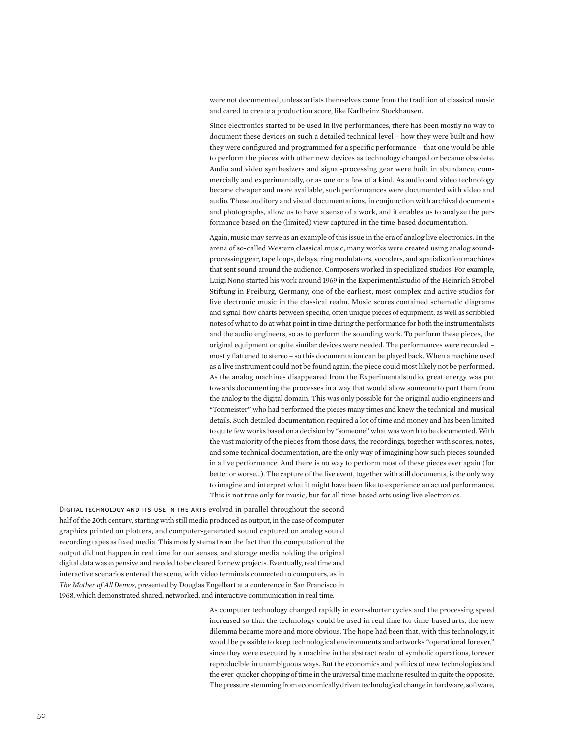were not documented, unless artists themselves came from the tradition of classical music and cared to create a production score, like Karlheinz Stockhausen.

Since electronics started to be used in live performances, there has been mostly no way to document these devices on such a detailed technical level – how they were built and how they were configured and programmed for a specific performance – that one would be able to perform the pieces with other new devices as technology changed or became obsolete. Audio and video synthesizers and signal-processing gear were built in abundance, commercially and experimentally, or as one or a few of a kind. As audio and video technology became cheaper and more available, such performances were documented with video and audio. These auditory and visual documentations, in conjunction with archival documents and photographs, allow us to have a sense of a work, and it enables us to analyze the performance based on the (limited) view captured in the time-based documentation.

Again, music may serve as an example of this issue in the era of analog live electronics. In the arena of so-called Western classical music, many works were created using analog soundprocessing gear, tape loops, delays, ring modulators, vocoders, and spatialization machines that sent sound around the audience. Composers worked in specialized studios. For example, Luigi Nono started his work around 1969 in the Experimentalstudio of the Heinrich Strobel Stiftung in Freiburg, Germany, one of the earliest, most complex and active studios for live electronic music in the classical realm. Music scores contained schematic diagrams and signal-flow charts between specific, often unique pieces of equipment, as well as scribbled notes of what to do at what point in time during the performance for both the instrumentalists and the audio engineers, so as to perform the sounding work. To perform these pieces, the original equipment or quite similar devices were needed. The performances were recorded – mostly flattened to stereo – so this documentation can be played back. When a machine used as a live instrument could not be found again, the piece could most likely not be performed. As the analog machines disappeared from the Experimentalstudio, great energy was put towards documenting the processes in a way that would allow someone to port them from the analog to the digital domain. This was only possible for the original audio engineers and "Tonmeister" who had performed the pieces many times and knew the technical and musical details. Such detailed documentation required a lot of time and money and has been limited to quite few works based on a decision by "someone" what was worth to be documented. With the vast majority of the pieces from those days, the recordings, together with scores, notes, and some technical documentation, are the only way of imagining how such pieces sounded in a live performance. And there is no way to perform most of these pieces ever again (for better or worse…). The capture of the live event, together with still documents, is the only way to imagine and interpret what it might have been like to experience an actual performance. This is not true only for music, but for all time-based arts using live electronics.

DIGITAL TECHNOLOGY AND ITS USE IN THE ARTS evolved in parallel throughout the second half of the 20th century, starting with still media produced as output, in the case of computer graphics printed on plotters, and computer-generated sound captured on analog sound recording tapes as fixed media. This mostly stems from the fact that the computation of the output did not happen in real time for our senses, and storage media holding the original digital data was expensive and needed to be cleared for new projects. Eventually, real time and interactive scenarios entered the scene, with video terminals connected to computers, as in *The Mother of All Demos*, presented by Douglas Engelbart at a conference in San Francisco in 1968, which demonstrated shared, networked, and interactive communication in real time.

> As computer technology changed rapidly in ever-shorter cycles and the processing speed increased so that the technology could be used in real time for time-based arts, the new dilemma became more and more obvious. The hope had been that, with this technology, it would be possible to keep technological environments and artworks "operational forever," since they were executed by a machine in the abstract realm of symbolic operations, forever reproducible in unambiguous ways. But the economics and politics of new technologies and the ever-quicker chopping of time in the universal time machine resulted in quite the opposite. The pressure stemming from economically driven technological change in hardware, software,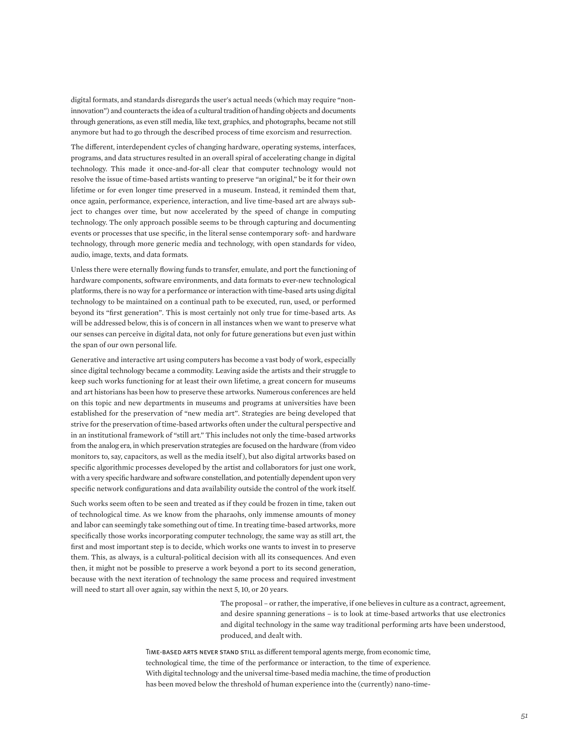digital formats, and standards disregards the user's actual needs (which may require "noninnovation") and counteracts the idea of a cultural tradition of handing objects and documents through generations, as even still media, like text, graphics, and photographs, became not still anymore but had to go through the described process of time exorcism and resurrection.

The different, interdependent cycles of changing hardware, operating systems, interfaces, programs, and data structures resulted in an overall spiral of accelerating change in digital technology. This made it once-and-for-all clear that computer technology would not resolve the issue of time-based artists wanting to preserve "an original," be it for their own lifetime or for even longer time preserved in a museum. Instead, it reminded them that, once again, performance, experience, interaction, and live time-based art are always subject to changes over time, but now accelerated by the speed of change in computing technology. The only approach possible seems to be through capturing and documenting events or processes that use specific, in the literal sense contemporary soft- and hardware technology, through more generic media and technology, with open standards for video, audio, image, texts, and data formats.

Unless there were eternally flowing funds to transfer, emulate, and port the functioning of hardware components, software environments, and data formats to ever-new technological platforms, there is no way for a performance or interaction with time-based arts using digital technology to be maintained on a continual path to be executed, run, used, or performed beyond its "first generation". This is most certainly not only true for time-based arts. As will be addressed below, this is of concern in all instances when we want to preserve what our senses can perceive in digital data, not only for future generations but even just within the span of our own personal life.

Generative and interactive art using computers has become a vast body of work, especially since digital technology became a commodity. Leaving aside the artists and their struggle to keep such works functioning for at least their own lifetime, a great concern for museums and art historians has been how to preserve these artworks. Numerous conferences are held on this topic and new departments in museums and programs at universities have been established for the preservation of "new media art". Strategies are being developed that strive for the preservation of time-based artworks often under the cultural perspective and in an institutional framework of "still art." This includes not only the time-based artworks from the analog era, in which preservation strategies are focused on the hardware (from video monitors to, say, capacitors, as well as the media itself ), but also digital artworks based on specific algorithmic processes developed by the artist and collaborators for just one work, with a very specific hardware and software constellation, and potentially dependent upon very specific network configurations and data availability outside the control of the work itself.

Such works seem often to be seen and treated as if they could be frozen in time, taken out of technological time. As we know from the pharaohs, only immense amounts of money and labor can seemingly take something out of time. In treating time-based artworks, more specifically those works incorporating computer technology, the same way as still art, the first and most important step is to decide, which works one wants to invest in to preserve them. This, as always, is a cultural-political decision with all its consequences. And even then, it might not be possible to preserve a work beyond a port to its second generation, because with the next iteration of technology the same process and required investment will need to start all over again, say within the next 5, 10, or 20 years.

> The proposal – or rather, the imperative, if one believes in culture as a contract, agreement, and desire spanning generations – is to look at time-based artworks that use electronics and digital technology in the same way traditional performing arts have been understood, produced, and dealt with.

Time-based arts never stand still as different temporal agents merge, from economic time, technological time, the time of the performance or interaction, to the time of experience. With digital technology and the universal time-based media machine, the time of production has been moved below the threshold of human experience into the (currently) nano-time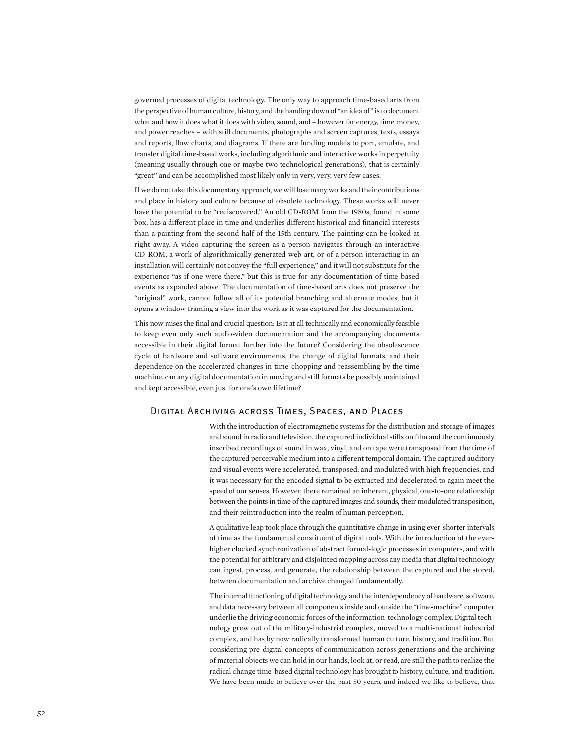governed processes of digital technology. The only way to approach time-based arts from the perspective of human culture, history, and the handing down of "an idea of" is to document what and how it does what it does with video, sound, and – however far energy, time, money, and power reaches – with still documents, photographs and screen captures, texts, essays and reports, flow charts, and diagrams. If there are funding models to port, emulate, and transfer digital time-based works, including algorithmic and interactive works in perpetuity (meaning usually through one or maybe two technological generations), that is certainly "great" and can be accomplished most likely only in very, very, very few cases.

If we do not take this documentary approach, we will lose many works and their contributions and place in history and culture because of obsolete technology. These works will never have the potential to be "rediscovered." An old CD-ROM from the 1980s, found in some box, has a different place in time and underlies different historical and financial interests than a painting from the second half of the 15th century. The painting can be looked at right away. A video capturing the screen as a person navigates through an interactive CD-ROM, a work of algorithmically generated web art, or of a person interacting in an installation will certainly not convey the "full experience," and it will not substitute for the experience "as if one were there," but this is true for any documentation of time-based events as expanded above. The documentation of time-based arts does not preserve the "original" work, cannot follow all of its potential branching and alternate modes, but it opens a window framing a view into the work as it was captured for the documentation.

This now raises the final and crucial question: Is it at all technically and economically feasible to keep even only such audio-video documentation and the accompanying documents accessible in their digital format further into the future? Considering the obsolescence cycle of hardware and software environments, the change of digital formats, and their dependence on the accelerated changes in time-chopping and reassembling by the time machine, can any digital documentation in moving and still formats be possibly maintained and kept accessible, even just for one's own lifetime?

### Digital Archiving across Times, Spaces, and Places

With the introduction of electromagnetic systems for the distribution and storage of images and sound in radio and television, the captured individual stills on film and the continuously inscribed recordings of sound in wax, vinyl, and on tape were transposed from the time of the captured perceivable medium into a different temporal domain. The captured auditory and visual events were accelerated, transposed, and modulated with high frequencies, and it was necessary for the encoded signal to be extracted and decelerated to again meet the speed of our senses. However, there remained an inherent, physical, one-to-one relationship between the points in time of the captured images and sounds, their modulated transposition, and their reintroduction into the realm of human perception.

A qualitative leap took place through the quantitative change in using ever-shorter intervals of time as the fundamental constituent of digital tools. With the introduction of the everhigher clocked synchronization of abstract formal-logic processes in computers, and with the potential for arbitrary and disjointed mapping across any media that digital technology can ingest, process, and generate, the relationship between the captured and the stored, between documentation and archive changed fundamentally.

The internal functioning of digital technology and the interdependency of hardware, software, and data necessary between all components inside and outside the "time-machine" computer underlie the driving economic forces of the information-technology complex. Digital technology grew out of the military-industrial complex, moved to a multi-national industrial complex, and has by now radically transformed human culture, history, and tradition. But considering pre-digital concepts of communication across generations and the archiving of material objects we can hold in our hands, look at, or read, are still the path to realize the radical change time-based digital technology has brought to history, culture, and tradition. We have been made to believe over the past 50 years, and indeed we like to believe, that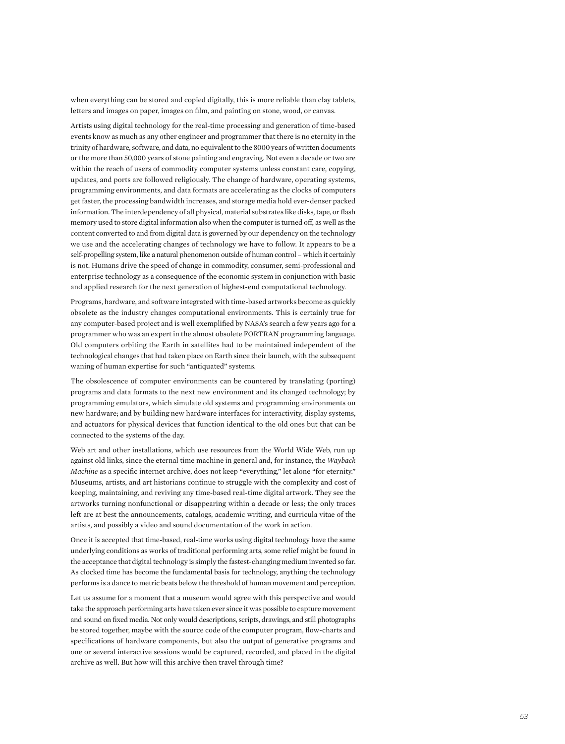when everything can be stored and copied digitally, this is more reliable than clay tablets, letters and images on paper, images on film, and painting on stone, wood, or canvas.

Artists using digital technology for the real-time processing and generation of time-based events know as much as any other engineer and programmer that there is no eternity in the trinity of hardware, software, and data, no equivalent to the 8000 years of written documents or the more than 50,000 years of stone painting and engraving. Not even a decade or two are within the reach of users of commodity computer systems unless constant care, copying, updates, and ports are followed religiously. The change of hardware, operating systems, programming environments, and data formats are accelerating as the clocks of computers get faster, the processing bandwidth increases, and storage media hold ever-denser packed information. The interdependency of all physical, material substrates like disks, tape, or flash memory used to store digital information also when the computer is turned off, as well as the content converted to and from digital data is governed by our dependency on the technology we use and the accelerating changes of technology we have to follow. It appears to be a self-propelling system, like a natural phenomenon outside of human control – which it certainly is not. Humans drive the speed of change in commodity, consumer, semi-professional and enterprise technology as a consequence of the economic system in conjunction with basic and applied research for the next generation of highest-end computational technology.

Programs, hardware, and software integrated with time-based artworks become as quickly obsolete as the industry changes computational environments. This is certainly true for any computer-based project and is well exemplified by NASA's search a few years ago for a programmer who was an expert in the almost obsolete FORTRAN programming language. Old computers orbiting the Earth in satellites had to be maintained independent of the technological changes that had taken place on Earth since their launch, with the subsequent waning of human expertise for such "antiquated" systems.

The obsolescence of computer environments can be countered by translating (porting) programs and data formats to the next new environment and its changed technology; by programming emulators, which simulate old systems and programming environments on new hardware; and by building new hardware interfaces for interactivity, display systems, and actuators for physical devices that function identical to the old ones but that can be connected to the systems of the day.

Web art and other installations, which use resources from the World Wide Web, run up against old links, since the eternal time machine in general and, for instance, the *Wayback Machine* as a specific internet archive, does not keep "everything," let alone "for eternity." Museums, artists, and art historians continue to struggle with the complexity and cost of keeping, maintaining, and reviving any time-based real-time digital artwork. They see the artworks turning nonfunctional or disappearing within a decade or less; the only traces left are at best the announcements, catalogs, academic writing, and curricula vitae of the artists, and possibly a video and sound documentation of the work in action.

Once it is accepted that time-based, real-time works using digital technology have the same underlying conditions as works of traditional performing arts, some relief might be found in the acceptance that digital technology is simply the fastest-changing medium invented so far. As clocked time has become the fundamental basis for technology, anything the technology performs is a dance to metric beats below the threshold of human movement and perception.

Let us assume for a moment that a museum would agree with this perspective and would take the approach performing arts have taken ever since it was possible to capture movement and sound on fixed media. Not only would descriptions, scripts, drawings, and still photographs be stored together, maybe with the source code of the computer program, flow-charts and specifications of hardware components, but also the output of generative programs and one or several interactive sessions would be captured, recorded, and placed in the digital archive as well. But how will this archive then travel through time?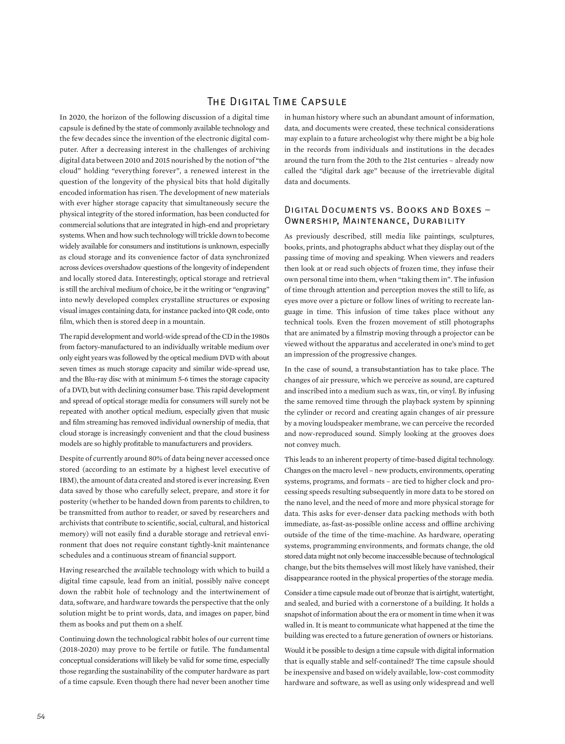### The Digital Time Capsule

In 2020, the horizon of the following discussion of a digital time capsule is defined by the state of commonly available technology and the few decades since the invention of the electronic digital computer. After a decreasing interest in the challenges of archiving digital data between 2010 and 2015 nourished by the notion of "the cloud" holding "everything forever", a renewed interest in the question of the longevity of the physical bits that hold digitally encoded information has risen. The development of new materials with ever higher storage capacity that simultaneously secure the physical integrity of the stored information, has been conducted for commercial solutions that are integrated in high-end and proprietary systems. When and how such technology will trickle down to become widely available for consumers and institutions is unknown, especially as cloud storage and its convenience factor of data synchronized across devices overshadow questions of the longevity of independent and locally stored data. Interestingly, optical storage and retrieval is still the archival medium of choice, be it the writing or "engraving" into newly developed complex crystalline structures or exposing visual images containing data, for instance packed into QR code, onto film, which then is stored deep in a mountain.

The rapid development and world-wide spread of the CD in the 1980s from factory-manufactured to an individually writable medium over only eight years was followed by the optical medium DVD with about seven times as much storage capacity and similar wide-spread use, and the Blu-ray disc with at minimum 5-6 times the storage capacity of a DVD, but with declining consumer base. This rapid development and spread of optical storage media for consumers will surely not be repeated with another optical medium, especially given that music and film streaming has removed individual ownership of media, that cloud storage is increasingly convenient and that the cloud business models are so highly profitable to manufacturers and providers.

Despite of currently around 80% of data being never accessed once stored (according to an estimate by a highest level executive of IBM), the amount of data created and stored is ever increasing. Even data saved by those who carefully select, prepare, and store it for posterity (whether to be handed down from parents to children, to be transmitted from author to reader, or saved by researchers and archivists that contribute to scientific, social, cultural, and historical memory) will not easily find a durable storage and retrieval environment that does not require constant tightly-knit maintenance schedules and a continuous stream of financial support.

Having researched the available technology with which to build a digital time capsule, lead from an initial, possibly naïve concept down the rabbit hole of technology and the intertwinement of data, software, and hardware towards the perspective that the only solution might be to print words, data, and images on paper, bind them as books and put them on a shelf.

Continuing down the technological rabbit holes of our current time (2018-2020) may prove to be fertile or futile. The fundamental conceptual considerations will likely be valid for some time, especially those regarding the sustainability of the computer hardware as part of a time capsule. Even though there had never been another time

in human history where such an abundant amount of information, data, and documents were created, these technical considerations may explain to a future archeologist why there might be a big hole in the records from individuals and institutions in the decades around the turn from the 20th to the 21st centuries – already now called the "digital dark age" because of the irretrievable digital data and documents.

### Digital Documents vs. Books and Boxes – Ownership, Maintenance, Durability

As previously described, still media like paintings, sculptures, books, prints, and photographs abduct what they display out of the passing time of moving and speaking. When viewers and readers then look at or read such objects of frozen time, they infuse their own personal time into them, when "taking them in". The infusion of time through attention and perception moves the still to life, as eyes move over a picture or follow lines of writing to recreate language in time. This infusion of time takes place without any technical tools. Even the frozen movement of still photographs that are animated by a filmstrip moving through a projector can be viewed without the apparatus and accelerated in one's mind to get an impression of the progressive changes.

In the case of sound, a transubstantiation has to take place. The changes of air pressure, which we perceive as sound, are captured and inscribed into a medium such as wax, tin, or vinyl. By infusing the same removed time through the playback system by spinning the cylinder or record and creating again changes of air pressure by a moving loudspeaker membrane, we can perceive the recorded and now-reproduced sound. Simply looking at the grooves does not convey much.

This leads to an inherent property of time-based digital technology. Changes on the macro level – new products, environments, operating systems, programs, and formats – are tied to higher clock and processing speeds resulting subsequently in more data to be stored on the nano level, and the need of more and more physical storage for data. This asks for ever-denser data packing methods with both immediate, as-fast-as-possible online access and offline archiving outside of the time of the time-machine. As hardware, operating systems, programming environments, and formats change, the old stored data might not only become inaccessible because of technological change, but the bits themselves will most likely have vanished, their disappearance rooted in the physical properties of the storage media.

Consider a time capsule made out of bronze that is airtight, watertight, and sealed, and buried with a cornerstone of a building. It holds a snapshot of information about the era or moment in time when it was walled in. It is meant to communicate what happened at the time the building was erected to a future generation of owners or historians.

Would it be possible to design a time capsule with digital information that is equally stable and self-contained? The time capsule should be inexpensive and based on widely available, low-cost commodity hardware and software, as well as using only widespread and well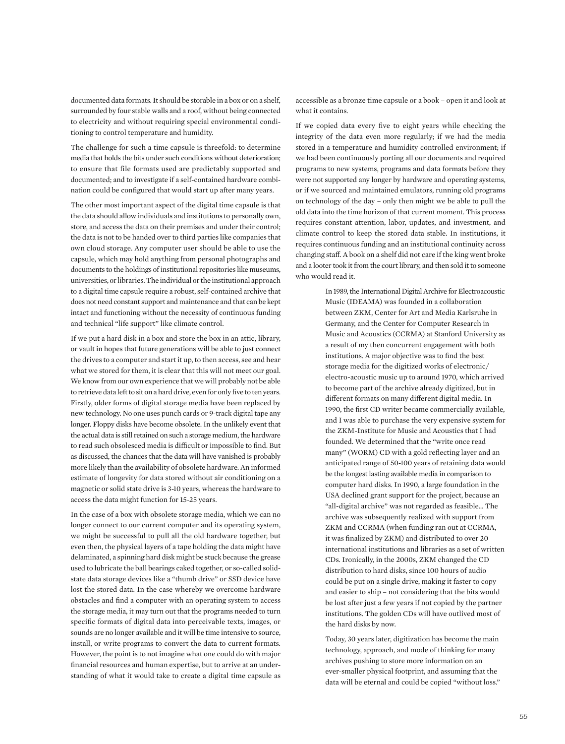documented data formats. It should be storable in a box or on a shelf, surrounded by four stable walls and a roof, without being connected to electricity and without requiring special environmental conditioning to control temperature and humidity.

The challenge for such a time capsule is threefold: to determine media that holds the bits under such conditions without deterioration; to ensure that file formats used are predictably supported and documented; and to investigate if a self-contained hardware combination could be configured that would start up after many years.

The other most important aspect of the digital time capsule is that the data should allow individuals and institutions to personally own, store, and access the data on their premises and under their control; the data is not to be handed over to third parties like companies that own cloud storage. Any computer user should be able to use the capsule, which may hold anything from personal photographs and documents to the holdings of institutional repositories like museums, universities, or libraries. The individual or the institutional approach to a digital time capsule require a robust, self-contained archive that does not need constant support and maintenance and that can be kept intact and functioning without the necessity of continuous funding and technical "life support" like climate control.

If we put a hard disk in a box and store the box in an attic, library, or vault in hopes that future generations will be able to just connect the drives to a computer and start it up, to then access, see and hear what we stored for them, it is clear that this will not meet our goal. We know from our own experience that we will probably not be able to retrieve data left to sit on a hard drive, even for only five to ten years. Firstly, older forms of digital storage media have been replaced by new technology. No one uses punch cards or 9-track digital tape any longer. Floppy disks have become obsolete. In the unlikely event that the actual data is still retained on such a storage medium, the hardware to read such obsolesced media is difficult or impossible to find. But as discussed, the chances that the data will have vanished is probably more likely than the availability of obsolete hardware. An informed estimate of longevity for data stored without air conditioning on a magnetic or solid state drive is 3-10 years, whereas the hardware to access the data might function for 15-25 years.

In the case of a box with obsolete storage media, which we can no longer connect to our current computer and its operating system, we might be successful to pull all the old hardware together, but even then, the physical layers of a tape holding the data might have delaminated, a spinning hard disk might be stuck because the grease used to lubricate the ball bearings caked together, or so-called solidstate data storage devices like a "thumb drive" or SSD device have lost the stored data. In the case whereby we overcome hardware obstacles and find a computer with an operating system to access the storage media, it may turn out that the programs needed to turn specific formats of digital data into perceivable texts, images, or sounds are no longer available and it will be time intensive to source, install, or write programs to convert the data to current formats. However, the point is to not imagine what one could do with major financial resources and human expertise, but to arrive at an understanding of what it would take to create a digital time capsule as accessible as a bronze time capsule or a book – open it and look at what it contains.

If we copied data every five to eight years while checking the integrity of the data even more regularly; if we had the media stored in a temperature and humidity controlled environment; if we had been continuously porting all our documents and required programs to new systems, programs and data formats before they were not supported any longer by hardware and operating systems, or if we sourced and maintained emulators, running old programs on technology of the day – only then might we be able to pull the old data into the time horizon of that current moment. This process requires constant attention, labor, updates, and investment, and climate control to keep the stored data stable. In institutions, it requires continuous funding and an institutional continuity across changing staff. A book on a shelf did not care if the king went broke and a looter took it from the court library, and then sold it to someone who would read it.

> In 1989, the International Digital Archive for Electroacoustic Music (IDEAMA) was founded in a collaboration between ZKM, Center for Art and Media Karlsruhe in Germany, and the Center for Computer Research in Music and Acoustics (CCRMA) at Stanford University as a result of my then concurrent engagement with both institutions. A major objective was to find the best storage media for the digitized works of electronic/ electro-acoustic music up to around 1970, which arrived to become part of the archive already digitized, but in different formats on many different digital media. In 1990, the first CD writer became commercially available, and I was able to purchase the very expensive system for the ZKM-Institute for Music and Acoustics that I had founded. We determined that the "write once read many" (WORM) CD with a gold reflecting layer and an anticipated range of 50-100 years of retaining data would be the longest lasting available media in comparison to computer hard disks. In 1990, a large foundation in the USA declined grant support for the project, because an "all-digital archive" was not regarded as feasible… The archive was subsequently realized with support from ZKM and CCRMA (when funding ran out at CCRMA, it was finalized by ZKM) and distributed to over 20 international institutions and libraries as a set of written CDs. Ironically, in the 2000s, ZKM changed the CD distribution to hard disks, since 100 hours of audio could be put on a single drive, making it faster to copy and easier to ship – not considering that the bits would be lost after just a few years if not copied by the partner institutions. The golden CDs will have outlived most of the hard disks by now.

Today, 30 years later, digitization has become the main technology, approach, and mode of thinking for many archives pushing to store more information on an ever-smaller physical footprint, and assuming that the data will be eternal and could be copied "without loss."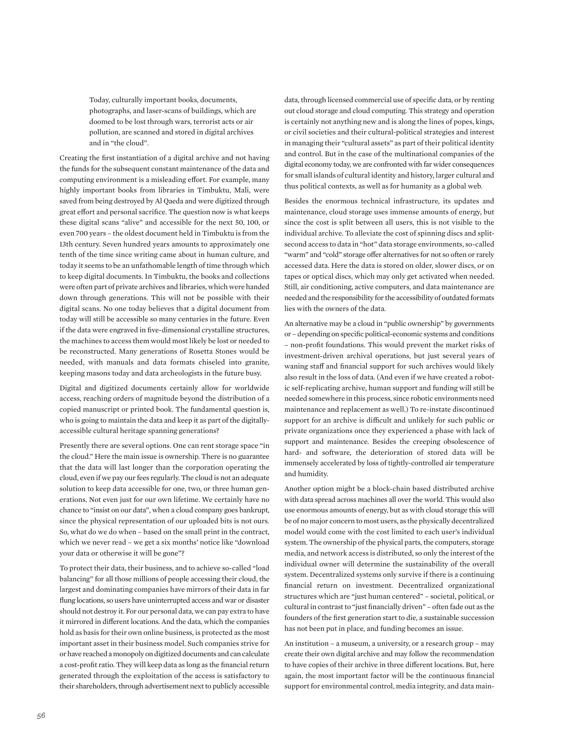Today, culturally important books, documents, photographs, and laser-scans of buildings, which are doomed to be lost through wars, terrorist acts or air pollution, are scanned and stored in digital archives and in "the cloud".

Creating the first instantiation of a digital archive and not having the funds for the subsequent constant maintenance of the data and computing environment is a misleading effort. For example, many highly important books from libraries in Timbuktu, Mali, were saved from being destroyed by Al Qaeda and were digitized through great effort and personal sacrifice. The question now is what keeps these digital scans "alive" and accessible for the next 50, 100, or even 700 years – the oldest document held in Timbuktu is from the 13th century. Seven hundred years amounts to approximately one tenth of the time since writing came about in human culture, and today it seems to be an unfathomable length of time through which to keep digital documents. In Timbuktu, the books and collections were often part of private archives and libraries, which were handed down through generations. This will not be possible with their digital scans. No one today believes that a digital document from today will still be accessible so many centuries in the future. Even if the data were engraved in five-dimensional crystalline structures, the machines to access them would most likely be lost or needed to be reconstructed. Many generations of Rosetta Stones would be needed, with manuals and data formats chiseled into granite, keeping masons today and data archeologists in the future busy.

Digital and digitized documents certainly allow for worldwide access, reaching orders of magnitude beyond the distribution of a copied manuscript or printed book. The fundamental question is, who is going to maintain the data and keep it as part of the digitallyaccessible cultural heritage spanning generations?

Presently there are several options. One can rent storage space "in the cloud." Here the main issue is ownership. There is no guarantee that the data will last longer than the corporation operating the cloud, even if we pay our fees regularly. The cloud is not an adequate solution to keep data accessible for one, two, or three human generations. Not even just for our own lifetime. We certainly have no chance to "insist on our data", when a cloud company goes bankrupt, since the physical representation of our uploaded bits is not ours. So, what do we do when – based on the small print in the contract, which we never read – we get a six months' notice like "download your data or otherwise it will be gone"?

To protect their data, their business, and to achieve so-called "load balancing" for all those millions of people accessing their cloud, the largest and dominating companies have mirrors of their data in far flung locations, so users have uninterrupted access and war or disaster should not destroy it. For our personal data, we can pay extra to have it mirrored in different locations. And the data, which the companies hold as basis for their own online business, is protected as the most important asset in their business model. Such companies strive for or have reached a monopoly on digitized documents and can calculate a cost-profit ratio. They will keep data as long as the financial return generated through the exploitation of the access is satisfactory to their shareholders, through advertisement next to publicly accessible data, through licensed commercial use of specific data, or by renting out cloud storage and cloud computing. This strategy and operation is certainly not anything new and is along the lines of popes, kings, or civil societies and their cultural-political strategies and interest in managing their "cultural assets" as part of their political identity and control. But in the case of the multinational companies of the digital economy today, we are confronted with far wider consequences for small islands of cultural identity and history, larger cultural and thus political contexts, as well as for humanity as a global web.

Besides the enormous technical infrastructure, its updates and maintenance, cloud storage uses immense amounts of energy, but since the cost is split between all users, this is not visible to the individual archive. To alleviate the cost of spinning discs and splitsecond access to data in "hot" data storage environments, so-called "warm" and "cold" storage offer alternatives for not so often or rarely accessed data. Here the data is stored on older, slower discs, or on tapes or optical discs, which may only get activated when needed. Still, air conditioning, active computers, and data maintenance are needed and the responsibility for the accessibility of outdated formats lies with the owners of the data.

An alternative may be a cloud in "public ownership" by governments or – depending on specific political-economic systems and conditions – non-profit foundations. This would prevent the market risks of investment-driven archival operations, but just several years of waning staff and financial support for such archives would likely also result in the loss of data. (And even if we have created a robotic self-replicating archive, human support and funding will still be needed somewhere in this process, since robotic environments need maintenance and replacement as well.) To re-instate discontinued support for an archive is difficult and unlikely for such public or private organizations once they experienced a phase with lack of support and maintenance. Besides the creeping obsolescence of hard- and software, the deterioration of stored data will be immensely accelerated by loss of tightly-controlled air temperature and humidity.

Another option might be a block-chain based distributed archive with data spread across machines all over the world. This would also use enormous amounts of energy, but as with cloud storage this will be of no major concern to most users, as the physically decentralized model would come with the cost limited to each user's individual system. The ownership of the physical parts, the computers, storage media, and network access is distributed, so only the interest of the individual owner will determine the sustainability of the overall system. Decentralized systems only survive if there is a continuing financial return on investment. Decentralized organizational structures which are "just human centered" – societal, political, or cultural in contrast to "just financially driven" – often fade out as the founders of the first generation start to die, a sustainable succession has not been put in place, and funding becomes an issue.

An institution – a museum, a university, or a research group – may create their own digital archive and may follow the recommendation to have copies of their archive in three different locations. But, here again, the most important factor will be the continuous financial support for environmental control, media integrity, and data main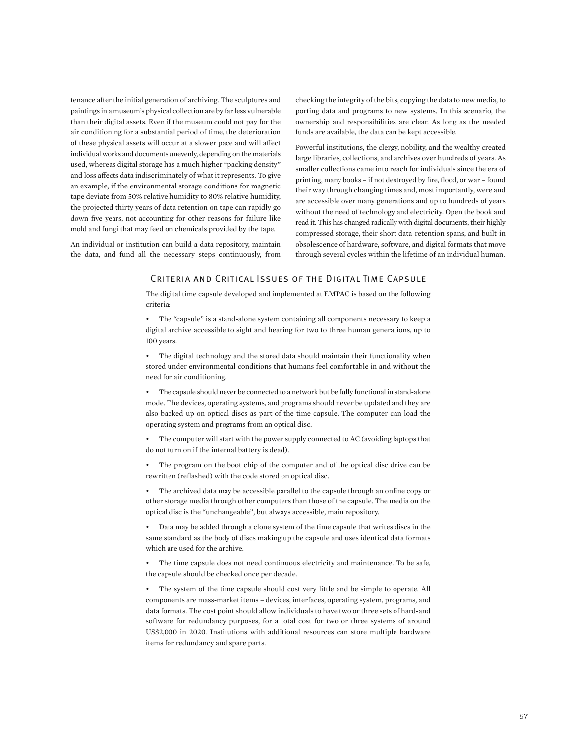tenance after the initial generation of archiving. The sculptures and paintings in a museum's physical collection are by far less vulnerable than their digital assets. Even if the museum could not pay for the air conditioning for a substantial period of time, the deterioration of these physical assets will occur at a slower pace and will affect individual works and documents unevenly, depending on the materials used, whereas digital storage has a much higher "packing density" and loss affects data indiscriminately of what it represents. To give an example, if the environmental storage conditions for magnetic tape deviate from 50% relative humidity to 80% relative humidity, the projected thirty years of data retention on tape can rapidly go down five years, not accounting for other reasons for failure like mold and fungi that may feed on chemicals provided by the tape.

An individual or institution can build a data repository, maintain the data, and fund all the necessary steps continuously, from checking the integrity of the bits, copying the data to new media, to porting data and programs to new systems. In this scenario, the ownership and responsibilities are clear. As long as the needed funds are available, the data can be kept accessible.

Powerful institutions, the clergy, nobility, and the wealthy created large libraries, collections, and archives over hundreds of years. As smaller collections came into reach for individuals since the era of printing, many books – if not destroyed by fire, flood, or war – found their way through changing times and, most importantly, were and are accessible over many generations and up to hundreds of years without the need of technology and electricity. Open the book and read it. This has changed radically with digital documents, their highly compressed storage, their short data-retention spans, and built-in obsolescence of hardware, software, and digital formats that move through several cycles within the lifetime of an individual human.

### Criteria and Critical Issues of the Digital Time Capsule

The digital time capsule developed and implemented at EMPAC is based on the following criteria:

• The "capsule" is a stand-alone system containing all components necessary to keep a digital archive accessible to sight and hearing for two to three human generations, up to 100 years.

The digital technology and the stored data should maintain their functionality when stored under environmental conditions that humans feel comfortable in and without the need for air conditioning.

The capsule should never be connected to a network but be fully functional in stand-alone mode. The devices, operating systems, and programs should never be updated and they are also backed-up on optical discs as part of the time capsule. The computer can load the operating system and programs from an optical disc.

The computer will start with the power supply connected to AC (avoiding laptops that do not turn on if the internal battery is dead).

The program on the boot chip of the computer and of the optical disc drive can be rewritten (reflashed) with the code stored on optical disc.

• The archived data may be accessible parallel to the capsule through an online copy or other storage media through other computers than those of the capsule. The media on the optical disc is the "unchangeable", but always accessible, main repository.

• Data may be added through a clone system of the time capsule that writes discs in the same standard as the body of discs making up the capsule and uses identical data formats which are used for the archive.

The time capsule does not need continuous electricity and maintenance. To be safe, the capsule should be checked once per decade.

The system of the time capsule should cost very little and be simple to operate. All components are mass-market items – devices, interfaces, operating system, programs, and data formats. The cost point should allow individuals to have two or three sets of hard-and software for redundancy purposes, for a total cost for two or three systems of around US\$2,000 in 2020. Institutions with additional resources can store multiple hardware items for redundancy and spare parts.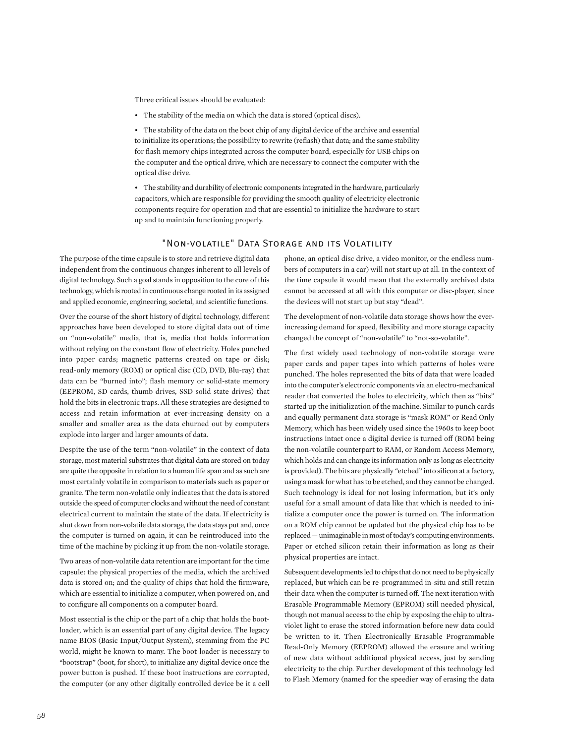Three critical issues should be evaluated:

• The stability of the media on which the data is stored (optical discs).

• The stability of the data on the boot chip of any digital device of the archive and essential to initialize its operations; the possibility to rewrite (reflash) that data; and the same stability for flash memory chips integrated across the computer board, especially for USB chips on the computer and the optical drive, which are necessary to connect the computer with the optical disc drive.

• The stability and durability of electronic components integrated in the hardware, particularly capacitors, which are responsible for providing the smooth quality of electricity electronic components require for operation and that are essential to initialize the hardware to start up and to maintain functioning properly.

### "Non-volatile" Data Storage and its Volatility

The purpose of the time capsule is to store and retrieve digital data independent from the continuous changes inherent to all levels of digital technology. Such a goal stands in opposition to the core of this technology, which is rooted in continuous change rooted in its assigned and applied economic, engineering, societal, and scientific functions.

Over the course of the short history of digital technology, different approaches have been developed to store digital data out of time on "non-volatile" media, that is, media that holds information without relying on the constant flow of electricity. Holes punched into paper cards; magnetic patterns created on tape or disk; read-only memory (ROM) or optical disc (CD, DVD, Blu-ray) that data can be "burned into"; flash memory or solid-state memory (EEPROM, SD cards, thumb drives, SSD solid state drives) that hold the bits in electronic traps. All these strategies are designed to access and retain information at ever-increasing density on a smaller and smaller area as the data churned out by computers explode into larger and larger amounts of data.

Despite the use of the term "non-volatile" in the context of data storage, most material substrates that digital data are stored on today are quite the opposite in relation to a human life span and as such are most certainly volatile in comparison to materials such as paper or granite. The term non-volatile only indicates that the data is stored outside the speed of computer clocks and without the need of constant electrical current to maintain the state of the data. If electricity is shut down from non-volatile data storage, the data stays put and, once the computer is turned on again, it can be reintroduced into the time of the machine by picking it up from the non-volatile storage.

Two areas of non-volatile data retention are important for the time capsule: the physical properties of the media, which the archived data is stored on; and the quality of chips that hold the firmware, which are essential to initialize a computer, when powered on, and to configure all components on a computer board.

Most essential is the chip or the part of a chip that holds the bootloader, which is an essential part of any digital device. The legacy name BIOS (Basic Input/Output System), stemming from the PC world, might be known to many. The boot-loader is necessary to "bootstrap" (boot, for short), to initialize any digital device once the power button is pushed. If these boot instructions are corrupted, the computer (or any other digitally controlled device be it a cell

phone, an optical disc drive, a video monitor, or the endless numbers of computers in a car) will not start up at all. In the context of the time capsule it would mean that the externally archived data cannot be accessed at all with this computer or disc-player, since the devices will not start up but stay "dead".

The development of non-volatile data storage shows how the everincreasing demand for speed, flexibility and more storage capacity changed the concept of "non-volatile" to "not-so-volatile".

The first widely used technology of non-volatile storage were paper cards and paper tapes into which patterns of holes were punched. The holes represented the bits of data that were loaded into the computer's electronic components via an electro-mechanical reader that converted the holes to electricity, which then as "bits" started up the initialization of the machine. Similar to punch cards and equally permanent data storage is "mask ROM" or Read Only Memory, which has been widely used since the 1960s to keep boot instructions intact once a digital device is turned off (ROM being the non-volatile counterpart to RAM, or Random Access Memory, which holds and can change its information only as long as electricity is provided). The bits are physically "etched" into silicon at a factory, using a mask for what has to be etched, and they cannot be changed. Such technology is ideal for not losing information, but it's only useful for a small amount of data like that which is needed to initialize a computer once the power is turned on. The information on a ROM chip cannot be updated but the physical chip has to be replaced — unimaginable in most of today's computing environments. Paper or etched silicon retain their information as long as their physical properties are intact.

Subsequent developments led to chips that do not need to be physically replaced, but which can be re-programmed in-situ and still retain their data when the computer is turned off. The next iteration with Erasable Programmable Memory (EPROM) still needed physical, though not manual access to the chip by exposing the chip to ultraviolet light to erase the stored information before new data could be written to it. Then Electronically Erasable Programmable Read-Only Memory (EEPROM) allowed the erasure and writing of new data without additional physical access, just by sending electricity to the chip. Further development of this technology led to Flash Memory (named for the speedier way of erasing the data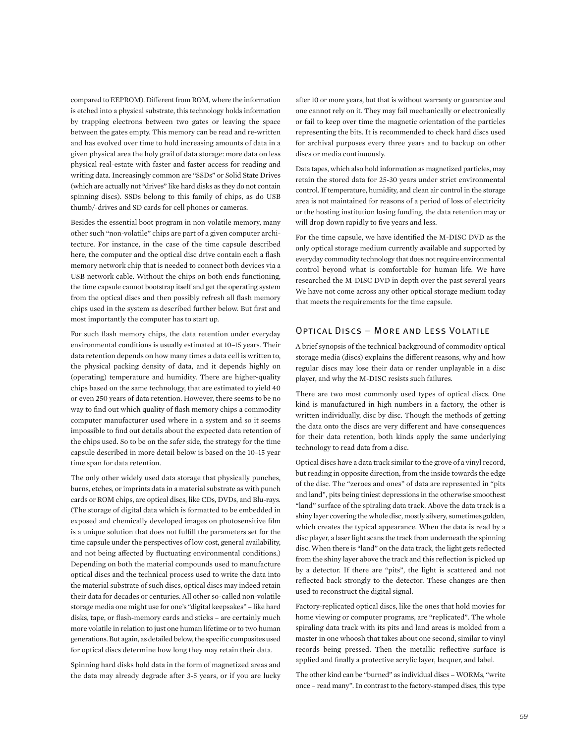compared to EEPROM). Different from ROM, where the information is etched into a physical substrate, this technology holds information by trapping electrons between two gates or leaving the space between the gates empty. This memory can be read and re-written and has evolved over time to hold increasing amounts of data in a given physical area the holy grail of data storage: more data on less physical real-estate with faster and faster access for reading and writing data. Increasingly common are "SSDs" or Solid State Drives (which are actually not "drives" like hard disks as they do not contain spinning discs). SSDs belong to this family of chips, as do USB thumb/-drives and SD cards for cell phones or cameras.

Besides the essential boot program in non-volatile memory, many other such "non-volatile" chips are part of a given computer architecture. For instance, in the case of the time capsule described here, the computer and the optical disc drive contain each a flash memory network chip that is needed to connect both devices via a USB network cable. Without the chips on both ends functioning, the time capsule cannot bootstrap itself and get the operating system from the optical discs and then possibly refresh all flash memory chips used in the system as described further below. But first and most importantly the computer has to start up.

For such flash memory chips, the data retention under everyday environmental conditions is usually estimated at 10–15 years. Their data retention depends on how many times a data cell is written to, the physical packing density of data, and it depends highly on (operating) temperature and humidity. There are higher-quality chips based on the same technology, that are estimated to yield 40 or even 250 years of data retention. However, there seems to be no way to find out which quality of flash memory chips a commodity computer manufacturer used where in a system and so it seems impossible to find out details about the expected data retention of the chips used. So to be on the safer side, the strategy for the time capsule described in more detail below is based on the 10–15 year time span for data retention.

The only other widely used data storage that physically punches, burns, etches, or imprints data in a material substrate as with punch cards or ROM chips, are optical discs, like CDs, DVDs, and Blu-rays. (The storage of digital data which is formatted to be embedded in exposed and chemically developed images on photosensitive film is a unique solution that does not fulfill the parameters set for the time capsule under the perspectives of low cost, general availability, and not being affected by fluctuating environmental conditions.) Depending on both the material compounds used to manufacture optical discs and the technical process used to write the data into the material substrate of such discs, optical discs may indeed retain their data for decades or centuries. All other so-called non-volatile storage media one might use for one's "digital keepsakes" – like hard disks, tape, or flash-memory cards and sticks – are certainly much more volatile in relation to just one human lifetime or to two human generations. But again, as detailed below, the specific composites used for optical discs determine how long they may retain their data.

Spinning hard disks hold data in the form of magnetized areas and the data may already degrade after 3-5 years, or if you are lucky after 10 or more years, but that is without warranty or guarantee and one cannot rely on it. They may fail mechanically or electronically or fail to keep over time the magnetic orientation of the particles representing the bits. It is recommended to check hard discs used for archival purposes every three years and to backup on other discs or media continuously.

Data tapes, which also hold information as magnetized particles, may retain the stored data for 25-30 years under strict environmental control. If temperature, humidity, and clean air control in the storage area is not maintained for reasons of a period of loss of electricity or the hosting institution losing funding, the data retention may or will drop down rapidly to five years and less.

For the time capsule, we have identified the M-DISC DVD as the only optical storage medium currently available and supported by everyday commodity technology that does not require environmental control beyond what is comfortable for human life. We have researched the M-DISC DVD in depth over the past several years We have not come across any other optical storage medium today that meets the requirements for the time capsule.

### Optical Discs – More and Less Volatile

A brief synopsis of the technical background of commodity optical storage media (discs) explains the different reasons, why and how regular discs may lose their data or render unplayable in a disc player, and why the M-DISC resists such failures.

There are two most commonly used types of optical discs. One kind is manufactured in high numbers in a factory, the other is written individually, disc by disc. Though the methods of getting the data onto the discs are very different and have consequences for their data retention, both kinds apply the same underlying technology to read data from a disc.

Optical discs have a data track similar to the grove of a vinyl record, but reading in opposite direction, from the inside towards the edge of the disc. The "zeroes and ones" of data are represented in "pits and land", pits being tiniest depressions in the otherwise smoothest "land" surface of the spiraling data track. Above the data track is a shiny layer covering the whole disc, mostly silvery, sometimes golden, which creates the typical appearance. When the data is read by a disc player, a laser light scans the track from underneath the spinning disc. When there is "land" on the data track, the light gets reflected from the shiny layer above the track and this reflection is picked up by a detector. If there are "pits", the light is scattered and not reflected back strongly to the detector. These changes are then used to reconstruct the digital signal.

Factory-replicated optical discs, like the ones that hold movies for home viewing or computer programs, are "replicated". The whole spiraling data track with its pits and land areas is molded from a master in one whoosh that takes about one second, similar to vinyl records being pressed. Then the metallic reflective surface is applied and finally a protective acrylic layer, lacquer, and label.

The other kind can be "burned" as individual discs – WORMs, "write once – read many". In contrast to the factory-stamped discs, this type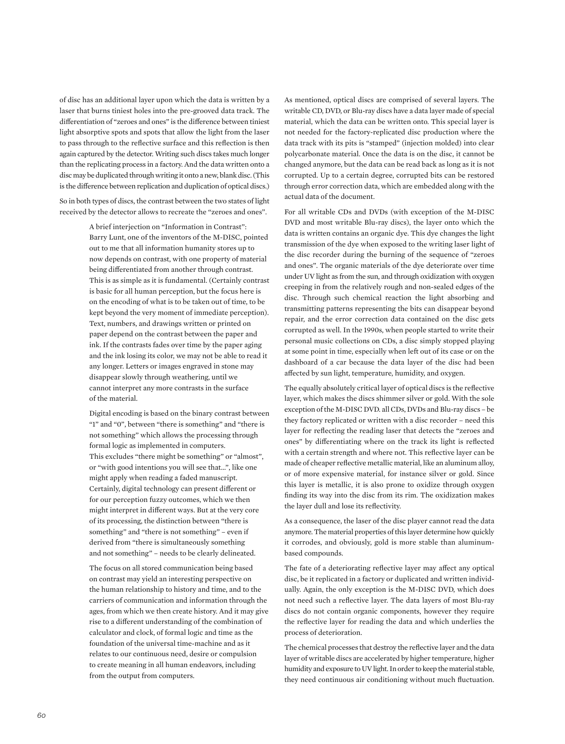of disc has an additional layer upon which the data is written by a laser that burns tiniest holes into the pre-grooved data track. The differentiation of "zeroes and ones" is the difference between tiniest light absorptive spots and spots that allow the light from the laser to pass through to the reflective surface and this reflection is then again captured by the detector. Writing such discs takes much longer than the replicating process in a factory. And the data written onto a disc may be duplicated through writing it onto a new, blank disc. (This is the difference between replication and duplication of optical discs.)

So in both types of discs, the contrast between the two states of light received by the detector allows to recreate the "zeroes and ones".

> A brief interjection on "Information in Contrast": Barry Lunt, one of the inventors of the M-DISC, pointed out to me that all information humanity stores up to now depends on contrast, with one property of material being differentiated from another through contrast. This is as simple as it is fundamental. (Certainly contrast is basic for all human perception, but the focus here is on the encoding of what is to be taken out of time, to be kept beyond the very moment of immediate perception). Text, numbers, and drawings written or printed on paper depend on the contrast between the paper and ink. If the contrasts fades over time by the paper aging and the ink losing its color, we may not be able to read it any longer. Letters or images engraved in stone may disappear slowly through weathering, until we cannot interpret any more contrasts in the surface of the material.

> Digital encoding is based on the binary contrast between "1" and "0", between "there is something" and "there is not something" which allows the processing through formal logic as implemented in computers. This excludes "there might be something" or "almost", or "with good intentions you will see that…", like one might apply when reading a faded manuscript. Certainly, digital technology can present different or for our perception fuzzy outcomes, which we then might interpret in different ways. But at the very core of its processing, the distinction between "there is something" and "there is not something" – even if derived from "there is simultaneously something and not something" – needs to be clearly delineated.

> The focus on all stored communication being based on contrast may yield an interesting perspective on the human relationship to history and time, and to the carriers of communication and information through the ages, from which we then create history. And it may give rise to a different understanding of the combination of calculator and clock, of formal logic and time as the foundation of the universal time-machine and as it relates to our continuous need, desire or compulsion to create meaning in all human endeavors, including from the output from computers.

As mentioned, optical discs are comprised of several layers. The writable CD, DVD, or Blu-ray discs have a data layer made of special material, which the data can be written onto. This special layer is not needed for the factory-replicated disc production where the data track with its pits is "stamped" (injection molded) into clear polycarbonate material. Once the data is on the disc, it cannot be changed anymore, but the data can be read back as long as it is not corrupted. Up to a certain degree, corrupted bits can be restored through error correction data, which are embedded along with the actual data of the document.

For all writable CDs and DVDs (with exception of the M-DISC DVD and most writable Blu-ray discs), the layer onto which the data is written contains an organic dye. This dye changes the light transmission of the dye when exposed to the writing laser light of the disc recorder during the burning of the sequence of "zeroes and ones". The organic materials of the dye deteriorate over time under UV light as from the sun, and through oxidization with oxygen creeping in from the relatively rough and non-sealed edges of the disc. Through such chemical reaction the light absorbing and transmitting patterns representing the bits can disappear beyond repair, and the error correction data contained on the disc gets corrupted as well. In the 1990s, when people started to write their personal music collections on CDs, a disc simply stopped playing at some point in time, especially when left out of its case or on the dashboard of a car because the data layer of the disc had been affected by sun light, temperature, humidity, and oxygen.

The equally absolutely critical layer of optical discs is the reflective layer, which makes the discs shimmer silver or gold. With the sole exception of the M-DISC DVD. all CDs, DVDs and Blu-ray discs – be they factory replicated or written with a disc recorder – need this layer for reflecting the reading laser that detects the "zeroes and ones" by differentiating where on the track its light is reflected with a certain strength and where not. This reflective layer can be made of cheaper reflective metallic material, like an aluminum alloy, or of more expensive material, for instance silver or gold. Since this layer is metallic, it is also prone to oxidize through oxygen finding its way into the disc from its rim. The oxidization makes the layer dull and lose its reflectivity.

As a consequence, the laser of the disc player cannot read the data anymore. The material properties of this layer determine how quickly it corrodes, and obviously, gold is more stable than aluminumbased compounds.

The fate of a deteriorating reflective layer may affect any optical disc, be it replicated in a factory or duplicated and written individually. Again, the only exception is the M-DISC DVD, which does not need such a reflective layer. The data layers of most Blu-ray discs do not contain organic components, however they require the reflective layer for reading the data and which underlies the process of deterioration.

The chemical processes that destroy the reflective layer and the data layer of writable discs are accelerated by higher temperature, higher humidity and exposure to UV light. In order to keep the material stable, they need continuous air conditioning without much fluctuation.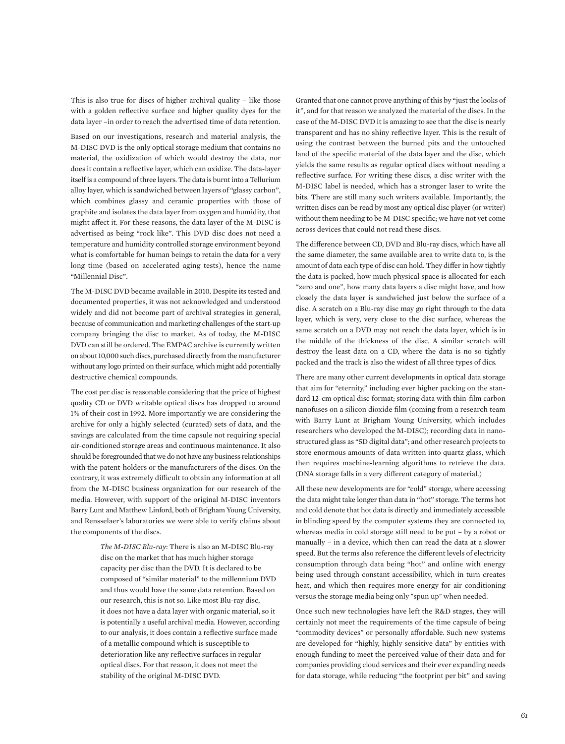This is also true for discs of higher archival quality – like those with a golden reflective surface and higher quality dyes for the data layer –in order to reach the advertised time of data retention.

Based on our investigations, research and material analysis, the M-DISC DVD is the only optical storage medium that contains no material, the oxidization of which would destroy the data, nor does it contain a reflective layer, which can oxidize. The data-layer itself is a compound of three layers. The data is burnt into a Tellurium alloy layer, which is sandwiched between layers of "glassy carbon", which combines glassy and ceramic properties with those of graphite and isolates the data layer from oxygen and humidity, that might affect it. For these reasons, the data layer of the M-DISC is advertised as being "rock like". This DVD disc does not need a temperature and humidity controlled storage environment beyond what is comfortable for human beings to retain the data for a very long time (based on accelerated aging tests), hence the name "Millennial Disc".

The M-DISC DVD became available in 2010. Despite its tested and documented properties, it was not acknowledged and understood widely and did not become part of archival strategies in general, because of communication and marketing challenges of the start-up company bringing the disc to market. As of today, the M-DISC DVD can still be ordered. The EMPAC archive is currently written on about 10,000 such discs, purchased directly from the manufacturer without any logo printed on their surface, which might add potentially destructive chemical compounds.

The cost per disc is reasonable considering that the price of highest quality CD or DVD writable optical discs has dropped to around 1% of their cost in 1992. More importantly we are considering the archive for only a highly selected (curated) sets of data, and the savings are calculated from the time capsule not requiring special air-conditioned storage areas and continuous maintenance. It also should be foregrounded that we do not have any business relationships with the patent-holders or the manufacturers of the discs. On the contrary, it was extremely difficult to obtain any information at all from the M-DISC business organization for our research of the media. However, with support of the original M-DISC inventors Barry Lunt and Matthew Linford, both of Brigham Young University, and Rensselaer's laboratories we were able to verify claims about the components of the discs.

> *The M-DISC Blu-ray*: There is also an M-DISC Blu-ray disc on the market that has much higher storage capacity per disc than the DVD. It is declared to be composed of "similar material" to the millennium DVD and thus would have the same data retention. Based on our research, this is not so. Like most Blu-ray disc, it does not have a data layer with organic material, so it is potentially a useful archival media. However, according to our analysis, it does contain a reflective surface made of a metallic compound which is susceptible to deterioration like any reflective surfaces in regular optical discs. For that reason, it does not meet the stability of the original M-DISC DVD.

Granted that one cannot prove anything of this by "just the looks of it", and for that reason we analyzed the material of the discs. In the case of the M-DISC DVD it is amazing to see that the disc is nearly transparent and has no shiny reflective layer. This is the result of using the contrast between the burned pits and the untouched land of the specific material of the data layer and the disc, which yields the same results as regular optical discs without needing a reflective surface. For writing these discs, a disc writer with the M-DISC label is needed, which has a stronger laser to write the bits. There are still many such writers available. Importantly, the written discs can be read by most any optical disc player (or writer) without them needing to be M-DISC specific; we have not yet come across devices that could not read these discs.

The difference between CD, DVD and Blu-ray discs, which have all the same diameter, the same available area to write data to, is the amount of data each type of disc can hold. They differ in how tightly the data is packed, how much physical space is allocated for each "zero and one", how many data layers a disc might have, and how closely the data layer is sandwiched just below the surface of a disc. A scratch on a Blu-ray disc may go right through to the data layer, which is very, very close to the disc surface, whereas the same scratch on a DVD may not reach the data layer, which is in the middle of the thickness of the disc. A similar scratch will destroy the least data on a CD, where the data is no so tightly packed and the track is also the widest of all three types of dics.

There are many other current developments in optical data storage that aim for "eternity," including ever higher packing on the standard 12-cm optical disc format; storing data with thin-film carbon nanofuses on a silicon dioxide film (coming from a research team with Barry Lunt at Brigham Young University, which includes researchers who developed the M-DISC); recording data in nanostructured glass as "5D digital data"; and other research projects to store enormous amounts of data written into quartz glass, which then requires machine-learning algorithms to retrieve the data. (DNA storage falls in a very different category of material.)

All these new developments are for "cold" storage, where accessing the data might take longer than data in "hot" storage. The terms hot and cold denote that hot data is directly and immediately accessible in blinding speed by the computer systems they are connected to, whereas media in cold storage still need to be put – by a robot or manually – in a device, which then can read the data at a slower speed. But the terms also reference the different levels of electricity consumption through data being "hot" and online with energy being used through constant accessibility, which in turn creates heat, and which then requires more energy for air conditioning versus the storage media being only "spun up" when needed.

Once such new technologies have left the R&D stages, they will certainly not meet the requirements of the time capsule of being "commodity devices" or personally affordable. Such new systems are developed for "highly, highly sensitive data" by entities with enough funding to meet the perceived value of their data and for companies providing cloud services and their ever expanding needs for data storage, while reducing "the footprint per bit" and saving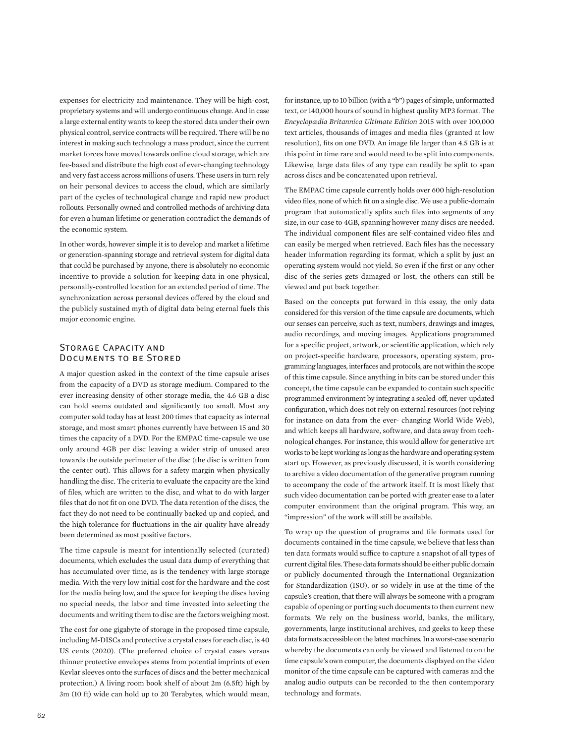expenses for electricity and maintenance. They will be high-cost, proprietary systems and will undergo continuous change. And in case a large external entity wants to keep the stored data under their own physical control, service contracts will be required. There will be no interest in making such technology a mass product, since the current market forces have moved towards online cloud storage, which are fee-based and distribute the high cost of ever-changing technology and very fast access across millions of users. These users in turn rely on heir personal devices to access the cloud, which are similarly part of the cycles of technological change and rapid new product rollouts. Personally owned and controlled methods of archiving data for even a human lifetime or generation contradict the demands of the economic system.

In other words, however simple it is to develop and market a lifetime or generation-spanning storage and retrieval system for digital data that could be purchased by anyone, there is absolutely no economic incentive to provide a solution for keeping data in one physical, personally-controlled location for an extended period of time. The synchronization across personal devices offered by the cloud and the publicly sustained myth of digital data being eternal fuels this major economic engine.

### Storage Capacity and Documents to be Stored

A major question asked in the context of the time capsule arises from the capacity of a DVD as storage medium. Compared to the ever increasing density of other storage media, the 4.6 GB a disc can hold seems outdated and significantly too small. Most any computer sold today has at least 200 times that capacity as internal storage, and most smart phones currently have between 15 and 30 times the capacity of a DVD. For the EMPAC time-capsule we use only around 4GB per disc leaving a wider strip of unused area towards the outside perimeter of the disc (the disc is written from the center out). This allows for a safety margin when physically handling the disc. The criteria to evaluate the capacity are the kind of files, which are written to the disc, and what to do with larger files that do not fit on one DVD. The data retention of the discs, the fact they do not need to be continually backed up and copied, and the high tolerance for fluctuations in the air quality have already been determined as most positive factors.

The time capsule is meant for intentionally selected (curated) documents, which excludes the usual data dump of everything that has accumulated over time, as is the tendency with large storage media. With the very low initial cost for the hardware and the cost for the media being low, and the space for keeping the discs having no special needs, the labor and time invested into selecting the documents and writing them to disc are the factors weighing most.

The cost for one gigabyte of storage in the proposed time capsule, including M-DISCs and protective a crystal cases for each disc, is 40 US cents (2020). (The preferred choice of crystal cases versus thinner protective envelopes stems from potential imprints of even Kevlar sleeves onto the surfaces of discs and the better mechanical protection.) A living room book shelf of about 2m (6.5ft) high by 3m (10 ft) wide can hold up to 20 Terabytes, which would mean, for instance, up to 10 billion (with a "b") pages of simple, unformatted text, or 140,000 hours of sound in highest quality MP3 format. The *Encyclopædia Britannica Ultimate Edition* 2015 with over 100,000 text articles, thousands of images and media files (granted at low resolution), fits on one DVD. An image file larger than 4.5 GB is at this point in time rare and would need to be split into components. Likewise, large data files of any type can readily be split to span across discs and be concatenated upon retrieval.

The EMPAC time capsule currently holds over 600 high-resolution video files, none of which fit on a single disc. We use a public-domain program that automatically splits such files into segments of any size, in our case to 4GB, spanning however many discs are needed. The individual component files are self-contained video files and can easily be merged when retrieved. Each files has the necessary header information regarding its format, which a split by just an operating system would not yield. So even if the first or any other disc of the series gets damaged or lost, the others can still be viewed and put back together.

Based on the concepts put forward in this essay, the only data considered for this version of the time capsule are documents, which our senses can perceive, such as text, numbers, drawings and images, audio recordings, and moving images. Applications programmed for a specific project, artwork, or scientific application, which rely on project-specific hardware, processors, operating system, programming languages, interfaces and protocols, are not within the scope of this time capsule. Since anything in bits can be stored under this concept, the time capsule can be expanded to contain such specific programmed environment by integrating a sealed-off, never-updated configuration, which does not rely on external resources (not relying for instance on data from the ever- changing World Wide Web), and which keeps all hardware, software, and data away from technological changes. For instance, this would allow for generative art works to be kept working as long as the hardware and operating system start up. However, as previously discussed, it is worth considering to archive a video documentation of the generative program running to accompany the code of the artwork itself. It is most likely that such video documentation can be ported with greater ease to a later computer environment than the original program. This way, an "impression" of the work will still be available.

To wrap up the question of programs and file formats used for documents contained in the time capsule, we believe that less than ten data formats would suffice to capture a snapshot of all types of current digital files. These data formats should be either public domain or publicly documented through the International Organization for Standardization (ISO), or so widely in use at the time of the capsule's creation, that there will always be someone with a program capable of opening or porting such documents to then current new formats. We rely on the business world, banks, the military, governments, large institutional archives, and geeks to keep these data formats accessible on the latest machines. In a worst-case scenario whereby the documents can only be viewed and listened to on the time capsule's own computer, the documents displayed on the video monitor of the time capsule can be captured with cameras and the analog audio outputs can be recorded to the then contemporary technology and formats.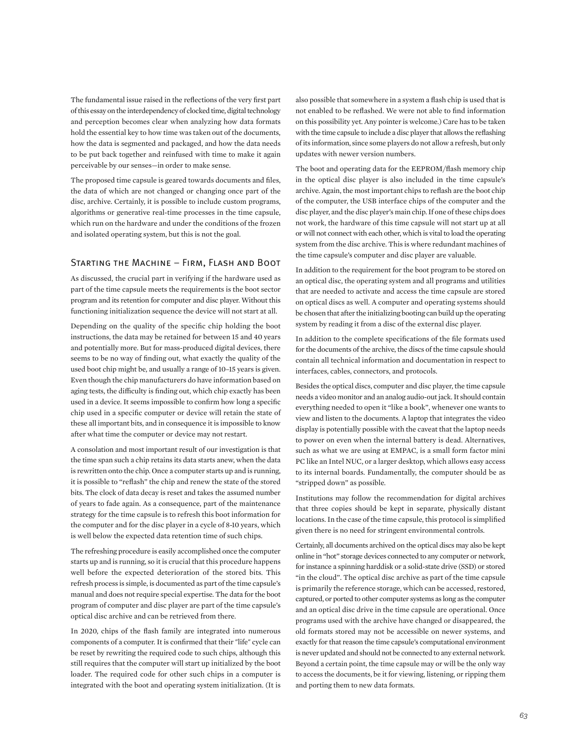The fundamental issue raised in the reflections of the very first part of this essay on the interdependency of clocked time, digital technology and perception becomes clear when analyzing how data formats hold the essential key to how time was taken out of the documents, how the data is segmented and packaged, and how the data needs to be put back together and reinfused with time to make it again perceivable by our senses—in order to make sense.

The proposed time capsule is geared towards documents and files, the data of which are not changed or changing once part of the disc, archive. Certainly, it is possible to include custom programs, algorithms or generative real-time processes in the time capsule, which run on the hardware and under the conditions of the frozen and isolated operating system, but this is not the goal.

### Starting the Machine – Firm, Flash and Boot

As discussed, the crucial part in verifying if the hardware used as part of the time capsule meets the requirements is the boot sector program and its retention for computer and disc player. Without this functioning initialization sequence the device will not start at all.

Depending on the quality of the specific chip holding the boot instructions, the data may be retained for between 15 and 40 years and potentially more. But for mass-produced digital devices, there seems to be no way of finding out, what exactly the quality of the used boot chip might be, and usually a range of 10–15 years is given. Even though the chip manufacturers do have information based on aging tests, the difficulty is finding out, which chip exactly has been used in a device. It seems impossible to confirm how long a specific chip used in a specific computer or device will retain the state of these all important bits, and in consequence it is impossible to know after what time the computer or device may not restart.

A consolation and most important result of our investigation is that the time span such a chip retains its data starts anew, when the data is rewritten onto the chip. Once a computer starts up and is running, it is possible to "reflash" the chip and renew the state of the stored bits. The clock of data decay is reset and takes the assumed number of years to fade again. As a consequence, part of the maintenance strategy for the time capsule is to refresh this boot information for the computer and for the disc player in a cycle of 8-10 years, which is well below the expected data retention time of such chips.

The refreshing procedure is easily accomplished once the computer starts up and is running, so it is crucial that this procedure happens well before the expected deterioration of the stored bits. This refresh process is simple, is documented as part of the time capsule's manual and does not require special expertise. The data for the boot program of computer and disc player are part of the time capsule's optical disc archive and can be retrieved from there.

In 2020, chips of the flash family are integrated into numerous components of a computer. It is confirmed that their "life" cycle can be reset by rewriting the required code to such chips, although this still requires that the computer will start up initialized by the boot loader. The required code for other such chips in a computer is integrated with the boot and operating system initialization. (It is

also possible that somewhere in a system a flash chip is used that is not enabled to be reflashed. We were not able to find information on this possibility yet. Any pointer is welcome.) Care has to be taken with the time capsule to include a disc player that allows the reflashing of its information, since some players do not allow a refresh, but only updates with newer version numbers.

The boot and operating data for the EEPROM/flash memory chip in the optical disc player is also included in the time capsule's archive. Again, the most important chips to reflash are the boot chip of the computer, the USB interface chips of the computer and the disc player, and the disc player's main chip. If one of these chips does not work, the hardware of this time capsule will not start up at all or will not connect with each other, which is vital to load the operating system from the disc archive. This is where redundant machines of the time capsule's computer and disc player are valuable.

In addition to the requirement for the boot program to be stored on an optical disc, the operating system and all programs and utilities that are needed to activate and access the time capsule are stored on optical discs as well. A computer and operating systems should be chosen that after the initializing booting can build up the operating system by reading it from a disc of the external disc player.

In addition to the complete specifications of the file formats used for the documents of the archive, the discs of the time capsule should contain all technical information and documentation in respect to interfaces, cables, connectors, and protocols.

Besides the optical discs, computer and disc player, the time capsule needs a video monitor and an analog audio-out jack. It should contain everything needed to open it "like a book", whenever one wants to view and listen to the documents. A laptop that integrates the video display is potentially possible with the caveat that the laptop needs to power on even when the internal battery is dead. Alternatives, such as what we are using at EMPAC, is a small form factor mini PC like an Intel NUC, or a larger desktop, which allows easy access to its internal boards. Fundamentally, the computer should be as "stripped down" as possible.

Institutions may follow the recommendation for digital archives that three copies should be kept in separate, physically distant locations. In the case of the time capsule, this protocol is simplified given there is no need for stringent environmental controls.

Certainly, all documents archived on the optical discs may also be kept online in "hot" storage devices connected to any computer or network, for instance a spinning harddisk or a solid-state drive (SSD) or stored "in the cloud". The optical disc archive as part of the time capsule is primarily the reference storage, which can be accessed, restored, captured, or ported to other computer systems as long as the computer and an optical disc drive in the time capsule are operational. Once programs used with the archive have changed or disappeared, the old formats stored may not be accessible on newer systems, and exactly for that reason the time capsule's computational environment is never updated and should not be connected to any external network. Beyond a certain point, the time capsule may or will be the only way to access the documents, be it for viewing, listening, or ripping them and porting them to new data formats.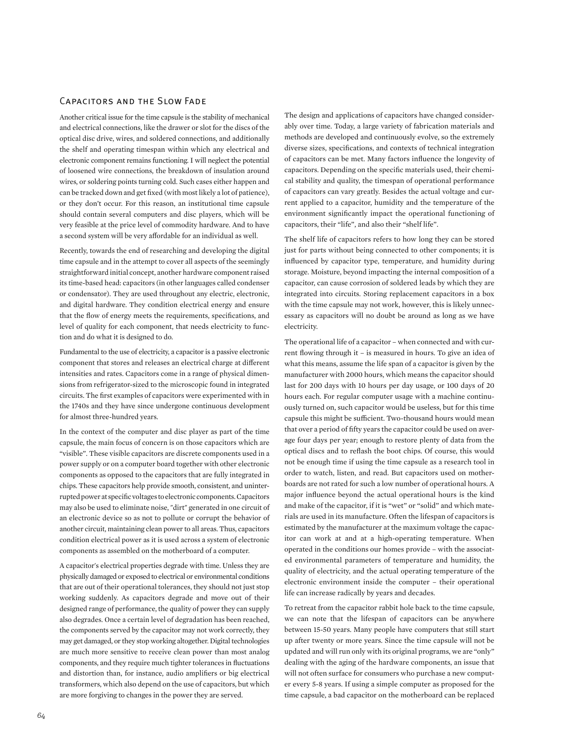### Capacitors and the Slow Fade

Another critical issue for the time capsule is the stability of mechanical and electrical connections, like the drawer or slot for the discs of the optical disc drive, wires, and soldered connections, and additionally the shelf and operating timespan within which any electrical and electronic component remains functioning. I will neglect the potential of loosened wire connections, the breakdown of insulation around wires, or soldering points turning cold. Such cases either happen and can be tracked down and get fixed (with most likely a lot of patience), or they don't occur. For this reason, an institutional time capsule should contain several computers and disc players, which will be very feasible at the price level of commodity hardware. And to have a second system will be very affordable for an individual as well.

Recently, towards the end of researching and developing the digital time capsule and in the attempt to cover all aspects of the seemingly straightforward initial concept, another hardware component raised its time-based head: capacitors (in other languages called condenser or condensator). They are used throughout any electric, electronic, and digital hardware. They condition electrical energy and ensure that the flow of energy meets the requirements, specifications, and level of quality for each component, that needs electricity to function and do what it is designed to do.

Fundamental to the use of electricity, a capacitor is a passive electronic component that stores and releases an electrical charge at different intensities and rates. Capacitors come in a range of physical dimensions from refrigerator-sized to the microscopic found in integrated circuits. The first examples of capacitors were experimented with in the 1740s and they have since undergone continuous development for almost three-hundred years.

In the context of the computer and disc player as part of the time capsule, the main focus of concern is on those capacitors which are "visible". These visible capacitors are discrete components used in a power supply or on a computer board together with other electronic components as opposed to the capacitors that are fully integrated in chips. These capacitors help provide smooth, consistent, and uninterrupted power at specific voltages to electronic components. Capacitors may also be used to eliminate noise, "dirt" generated in one circuit of an electronic device so as not to pollute or corrupt the behavior of another circuit, maintaining clean power to all areas. Thus, capacitors condition electrical power as it is used across a system of electronic components as assembled on the motherboard of a computer.

A capacitor's electrical properties degrade with time. Unless they are physically damaged or exposed to electrical or environmental conditions that are out of their operational tolerances, they should not just stop working suddenly. As capacitors degrade and move out of their designed range of performance, the quality of power they can supply also degrades. Once a certain level of degradation has been reached, the components served by the capacitor may not work correctly, they may get damaged, or they stop working altogether. Digital technologies are much more sensitive to receive clean power than most analog components, and they require much tighter tolerances in fluctuations and distortion than, for instance, audio amplifiers or big electrical transformers, which also depend on the use of capacitors, but which are more forgiving to changes in the power they are served.

The design and applications of capacitors have changed considerably over time. Today, a large variety of fabrication materials and methods are developed and continuously evolve, so the extremely diverse sizes, specifications, and contexts of technical integration of capacitors can be met. Many factors influence the longevity of capacitors. Depending on the specific materials used, their chemical stability and quality, the timespan of operational performance of capacitors can vary greatly. Besides the actual voltage and current applied to a capacitor, humidity and the temperature of the environment significantly impact the operational functioning of capacitors, their "life", and also their "shelf life".

The shelf life of capacitors refers to how long they can be stored just for parts without being connected to other components; it is influenced by capacitor type, temperature, and humidity during storage. Moisture, beyond impacting the internal composition of a capacitor, can cause corrosion of soldered leads by which they are integrated into circuits. Storing replacement capacitors in a box with the time capsule may not work, however, this is likely unnecessary as capacitors will no doubt be around as long as we have electricity.

The operational life of a capacitor – when connected and with current flowing through it – is measured in hours. To give an idea of what this means, assume the life span of a capacitor is given by the manufacturer with 2000 hours, which means the capacitor should last for 200 days with 10 hours per day usage, or 100 days of 20 hours each. For regular computer usage with a machine continuously turned on, such capacitor would be useless, but for this time capsule this might be sufficient. Two-thousand hours would mean that over a period of fifty years the capacitor could be used on average four days per year; enough to restore plenty of data from the optical discs and to reflash the boot chips. Of course, this would not be enough time if using the time capsule as a research tool in order to watch, listen, and read. But capacitors used on motherboards are not rated for such a low number of operational hours. A major influence beyond the actual operational hours is the kind and make of the capacitor, if it is "wet" or "solid" and which materials are used in its manufacture. Often the lifespan of capacitors is estimated by the manufacturer at the maximum voltage the capacitor can work at and at a high-operating temperature. When operated in the conditions our homes provide – with the associated environmental parameters of temperature and humidity, the quality of electricity, and the actual operating temperature of the electronic environment inside the computer – their operational life can increase radically by years and decades.

To retreat from the capacitor rabbit hole back to the time capsule, we can note that the lifespan of capacitors can be anywhere between 15-50 years. Many people have computers that still start up after twenty or more years. Since the time capsule will not be updated and will run only with its original programs, we are "only" dealing with the aging of the hardware components, an issue that will not often surface for consumers who purchase a new computer every 5-8 years. If using a simple computer as proposed for the time capsule, a bad capacitor on the motherboard can be replaced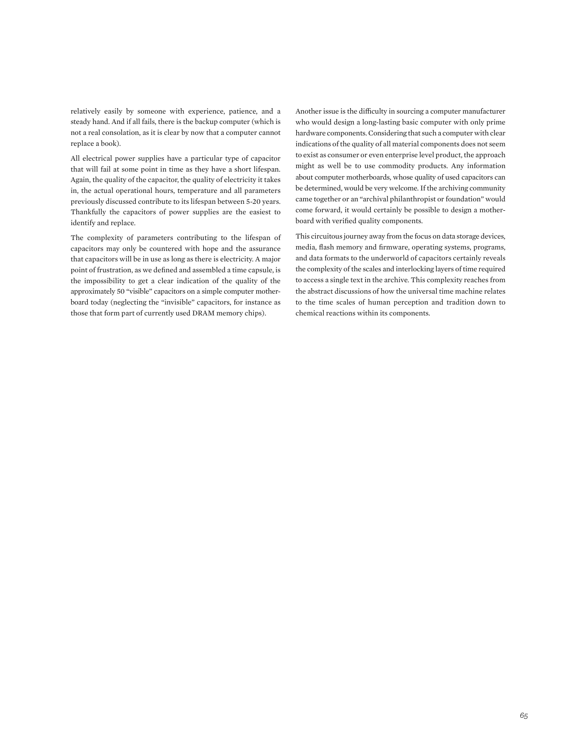relatively easily by someone with experience, patience, and a steady hand. And if all fails, there is the backup computer (which is not a real consolation, as it is clear by now that a computer cannot replace a book).

All electrical power supplies have a particular type of capacitor that will fail at some point in time as they have a short lifespan. Again, the quality of the capacitor, the quality of electricity it takes in, the actual operational hours, temperature and all parameters previously discussed contribute to its lifespan between 5-20 years. Thankfully the capacitors of power supplies are the easiest to identify and replace.

The complexity of parameters contributing to the lifespan of capacitors may only be countered with hope and the assurance that capacitors will be in use as long as there is electricity. A major point of frustration, as we defined and assembled a time capsule, is the impossibility to get a clear indication of the quality of the approximately 50 "visible" capacitors on a simple computer motherboard today (neglecting the "invisible" capacitors, for instance as those that form part of currently used DRAM memory chips).

Another issue is the difficulty in sourcing a computer manufacturer who would design a long-lasting basic computer with only prime hardware components. Considering that such a computer with clear indications of the quality of all material components does not seem to exist as consumer or even enterprise level product, the approach might as well be to use commodity products. Any information about computer motherboards, whose quality of used capacitors can be determined, would be very welcome. If the archiving community came together or an "archival philanthropist or foundation" would come forward, it would certainly be possible to design a motherboard with verified quality components.

This circuitous journey away from the focus on data storage devices, media, flash memory and firmware, operating systems, programs, and data formats to the underworld of capacitors certainly reveals the complexity of the scales and interlocking layers of time required to access a single text in the archive. This complexity reaches from the abstract discussions of how the universal time machine relates to the time scales of human perception and tradition down to chemical reactions within its components.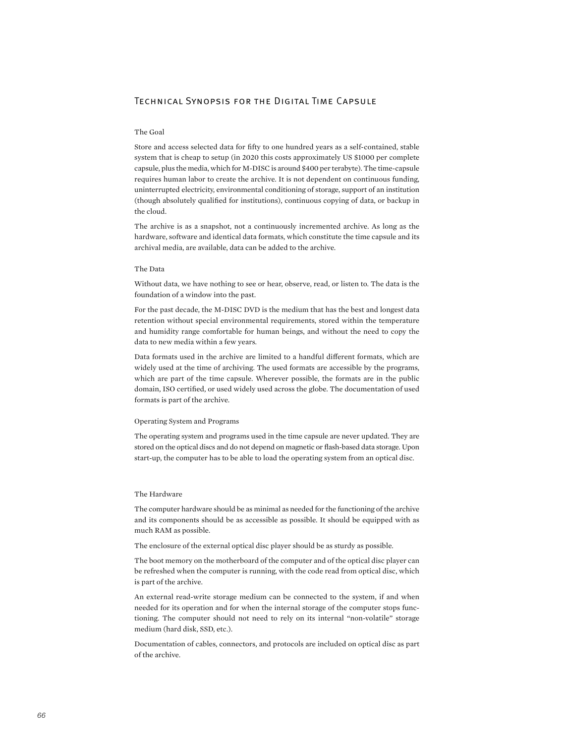### Technical Synopsis for the Digital Time Capsule

### The Goal

Store and access selected data for fifty to one hundred years as a self-contained, stable system that is cheap to setup (in 2020 this costs approximately US \$1000 per complete capsule, plus the media, which for M-DISC is around \$400 per terabyte). The time-capsule requires human labor to create the archive. It is not dependent on continuous funding, uninterrupted electricity, environmental conditioning of storage, support of an institution (though absolutely qualified for institutions), continuous copying of data, or backup in the cloud.

The archive is as a snapshot, not a continuously incremented archive. As long as the hardware, software and identical data formats, which constitute the time capsule and its archival media, are available, data can be added to the archive.

#### The Data

Without data, we have nothing to see or hear, observe, read, or listen to. The data is the foundation of a window into the past.

For the past decade, the M-DISC DVD is the medium that has the best and longest data retention without special environmental requirements, stored within the temperature and humidity range comfortable for human beings, and without the need to copy the data to new media within a few years.

Data formats used in the archive are limited to a handful different formats, which are widely used at the time of archiving. The used formats are accessible by the programs, which are part of the time capsule. Wherever possible, the formats are in the public domain, ISO certified, or used widely used across the globe. The documentation of used formats is part of the archive.

#### Operating System and Programs

The operating system and programs used in the time capsule are never updated. They are stored on the optical discs and do not depend on magnetic or flash-based data storage. Upon start-up, the computer has to be able to load the operating system from an optical disc.

#### The Hardware

The computer hardware should be as minimal as needed for the functioning of the archive and its components should be as accessible as possible. It should be equipped with as much RAM as possible.

The enclosure of the external optical disc player should be as sturdy as possible.

The boot memory on the motherboard of the computer and of the optical disc player can be refreshed when the computer is running, with the code read from optical disc, which is part of the archive.

An external read-write storage medium can be connected to the system, if and when needed for its operation and for when the internal storage of the computer stops functioning. The computer should not need to rely on its internal "non-volatile" storage medium (hard disk, SSD, etc.).

Documentation of cables, connectors, and protocols are included on optical disc as part of the archive.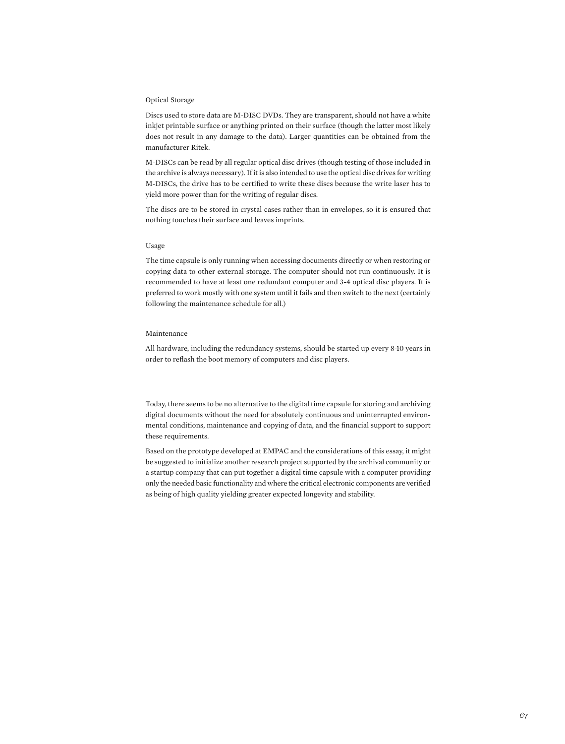#### Optical Storage

Discs used to store data are M-DISC DVDs. They are transparent, should not have a white inkjet printable surface or anything printed on their surface (though the latter most likely does not result in any damage to the data). Larger quantities can be obtained from the manufacturer Ritek.

M-DISCs can be read by all regular optical disc drives (though testing of those included in the archive is always necessary). If it is also intended to use the optical disc drives for writing M-DISCs, the drive has to be certified to write these discs because the write laser has to yield more power than for the writing of regular discs.

The discs are to be stored in crystal cases rather than in envelopes, so it is ensured that nothing touches their surface and leaves imprints.

#### Usage

The time capsule is only running when accessing documents directly or when restoring or copying data to other external storage. The computer should not run continuously. It is recommended to have at least one redundant computer and 3-4 optical disc players. It is preferred to work mostly with one system until it fails and then switch to the next (certainly following the maintenance schedule for all.)

#### Maintenance

All hardware, including the redundancy systems, should be started up every 8-10 years in order to reflash the boot memory of computers and disc players.

Today, there seems to be no alternative to the digital time capsule for storing and archiving digital documents without the need for absolutely continuous and uninterrupted environmental conditions, maintenance and copying of data, and the financial support to support these requirements.

Based on the prototype developed at EMPAC and the considerations of this essay, it might be suggested to initialize another research project supported by the archival community or a startup company that can put together a digital time capsule with a computer providing only the needed basic functionality and where the critical electronic components are verified as being of high quality yielding greater expected longevity and stability.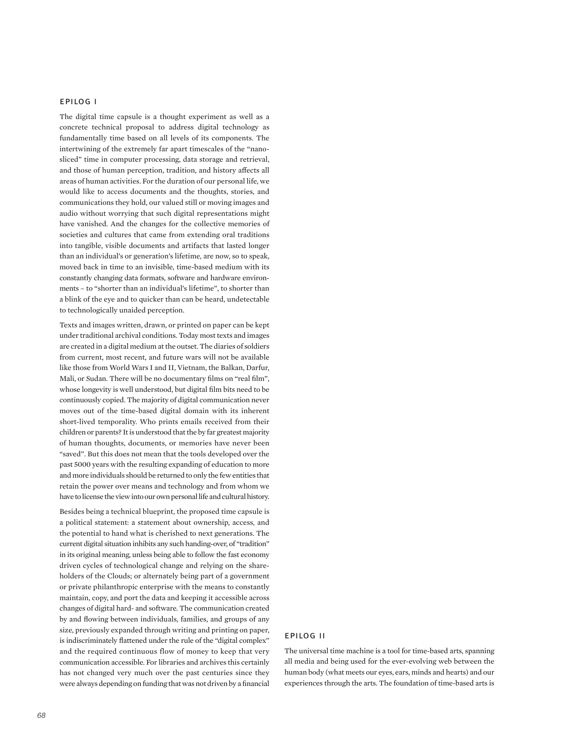### epilog i

The digital time capsule is a thought experiment as well as a concrete technical proposal to address digital technology as fundamentally time based on all levels of its components. The intertwining of the extremely far apart timescales of the "nanosliced" time in computer processing, data storage and retrieval, and those of human perception, tradition, and history affects all areas of human activities. For the duration of our personal life, we would like to access documents and the thoughts, stories, and communications they hold, our valued still or moving images and audio without worrying that such digital representations might have vanished. And the changes for the collective memories of societies and cultures that came from extending oral traditions into tangible, visible documents and artifacts that lasted longer than an individual's or generation's lifetime, are now, so to speak, moved back in time to an invisible, time-based medium with its constantly changing data formats, software and hardware environments – to "shorter than an individual's lifetime", to shorter than a blink of the eye and to quicker than can be heard, undetectable to technologically unaided perception.

Texts and images written, drawn, or printed on paper can be kept under traditional archival conditions. Today most texts and images are created in a digital medium at the outset. The diaries of soldiers from current, most recent, and future wars will not be available like those from World Wars I and II, Vietnam, the Balkan, Darfur, Mali, or Sudan. There will be no documentary films on "real film", whose longevity is well understood, but digital film bits need to be continuously copied. The majority of digital communication never moves out of the time-based digital domain with its inherent short-lived temporality. Who prints emails received from their children or parents? It is understood that the by far greatest majority of human thoughts, documents, or memories have never been "saved". But this does not mean that the tools developed over the past 5000 years with the resulting expanding of education to more and more individuals should be returned to only the few entities that retain the power over means and technology and from whom we have to license the view into our own personal life and cultural history.

Besides being a technical blueprint, the proposed time capsule is a political statement: a statement about ownership, access, and the potential to hand what is cherished to next generations. The current digital situation inhibits any such handing-over, of "tradition" in its original meaning, unless being able to follow the fast economy driven cycles of technological change and relying on the shareholders of the Clouds; or alternately being part of a government or private philanthropic enterprise with the means to constantly maintain, copy, and port the data and keeping it accessible across changes of digital hard- and software. The communication created by and flowing between individuals, families, and groups of any size, previously expanded through writing and printing on paper, is indiscriminately flattened under the rule of the "digital complex" and the required continuous flow of money to keep that very communication accessible. For libraries and archives this certainly has not changed very much over the past centuries since they were always depending on funding that was not driven by a financial

The universal time machine is a tool for time-based arts, spanning all media and being used for the ever-evolving web between the human body (what meets our eyes, ears, minds and hearts) and our experiences through the arts. The foundation of time-based arts is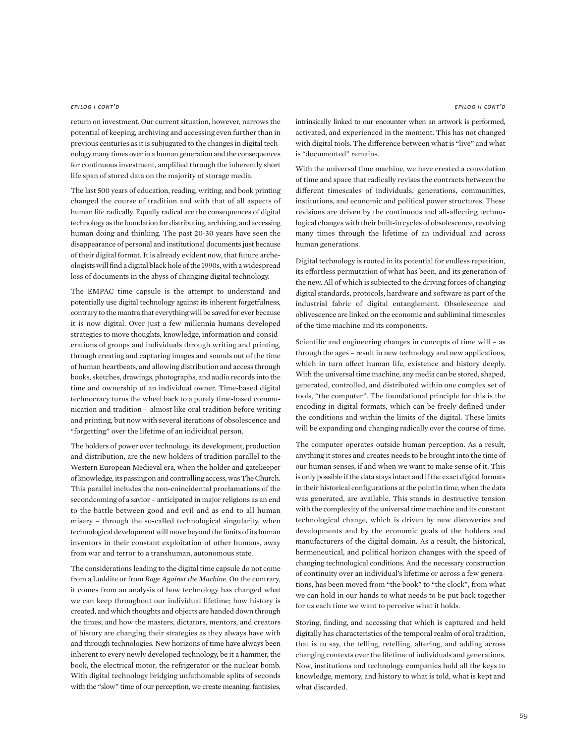#### epilog i cont'd

return on investment. Our current situation, however, narrows the potential of keeping, archiving and accessing even further than in previous centuries as it is subjugated to the changes in digital technology many times over in a human generation and the consequences for continuous investment, amplified through the inherently short life span of stored data on the majority of storage media.

The last 500 years of education, reading, writing, and book printing changed the course of tradition and with that of all aspects of human life radically. Equally radical are the consequences of digital technology as the foundation for distributing, archiving, and accessing human doing and thinking. The past 20-30 years have seen the disappearance of personal and institutional documents just because of their digital format. It is already evident now, that future archeologists will find a digital black hole of the 1990s, with a widespread loss of documents in the abyss of changing digital technology.

The EMPAC time capsule is the attempt to understand and potentially use digital technology against its inherent forgetfulness, contrary to the mantra that everything will be saved for ever because it is now digital. Over just a few millennia humans developed strategies to move thoughts, knowledge, information and considerations of groups and individuals through writing and printing, through creating and capturing images and sounds out of the time of human heartbeats, and allowing distribution and access through books, sketches, drawings, photographs, and audio records into the time and ownership of an individual owner. Time-based digital technocracy turns the wheel back to a purely time-based communication and tradition – almost like oral tradition before writing and printing, but now with several iterations of obsolescence and "forgetting" over the lifetime of an individual person.

The holders of power over technology, its development, production and distribution, are the new holders of tradition parallel to the Western European Medieval era, when the holder and gatekeeper of knowledge, its passing on and controlling access, was The Church. This parallel includes the non-coincidental proclamations of the secondcoming of a savior – anticipated in major religions as an end to the battle between good and evil and as end to all human misery – through the so-called technological singularity, when technological development will move beyond the limits of its human inventors in their constant exploitation of other humans, away from war and terror to a transhuman, autonomous state.

The considerations leading to the digital time capsule do not come from a Luddite or from *Rage Against the Machine*. On the contrary, it comes from an analysis of how technology has changed what we can keep throughout our individual lifetime; how history is created, and which thoughts and objects are handed down through the times; and how the masters, dictators, mentors, and creators of history are changing their strategies as they always have with and through technologies. New horizons of time have always been inherent to every newly developed technology, be it a hammer, the book, the electrical motor, the refrigerator or the nuclear bomb. With digital technology bridging unfathomable splits of seconds with the "slow" time of our perception, we create meaning, fantasies,

intrinsically linked to our encounter when an artwork is performed, activated, and experienced in the moment. This has not changed with digital tools. The difference between what is "live" and what is "documented" remains.

With the universal time machine, we have created a convolution of time and space that radically revises the contracts between the different timescales of individuals, generations, communities, institutions, and economic and political power structures. These revisions are driven by the continuous and all-affecting technological changes with their built-in cycles of obsolescence, revolving many times through the lifetime of an individual and across human generations.

Digital technology is rooted in its potential for endless repetition, its effortless permutation of what has been, and its generation of the new. All of which is subjected to the driving forces of changing digital standards, protocols, hardware and software as part of the industrial fabric of digital entanglement. Obsolescence and oblivescence are linked on the economic and subliminal timescales of the time machine and its components.

Scientific and engineering changes in concepts of time will – as through the ages – result in new technology and new applications, which in turn affect human life, existence and history deeply. With the universal time machine, any media can be stored, shaped, generated, controlled, and distributed within one complex set of tools, "the computer". The foundational principle for this is the encoding in digital formats, which can be freely defined under the conditions and within the limits of the digital. These limits will be expanding and changing radically over the course of time.

The computer operates outside human perception. As a result, anything it stores and creates needs to be brought into the time of our human senses, if and when we want to make sense of it. This is only possible if the data stays intact and if the exact digital formats in their historical configurations at the point in time, when the data was generated, are available. This stands in destructive tension with the complexity of the universal time machine and its constant technological change, which is driven by new discoveries and developments and by the economic goals of the holders and manufacturers of the digital domain. As a result, the historical, hermeneutical, and political horizon changes with the speed of changing technological conditions. And the necessary construction of continuity over an individual's lifetime or across a few generations, has been moved from "the book" to "the clock", from what we can hold in our hands to what needs to be put back together for us each time we want to perceive what it holds.

Storing, finding, and accessing that which is captured and held digitally has characteristics of the temporal realm of oral tradition, that is to say, the telling, retelling, altering, and adding across changing contexts over the lifetime of individuals and generations. Now, institutions and technology companies hold all the keys to knowledge, memory, and history to what is told, what is kept and what discarded.